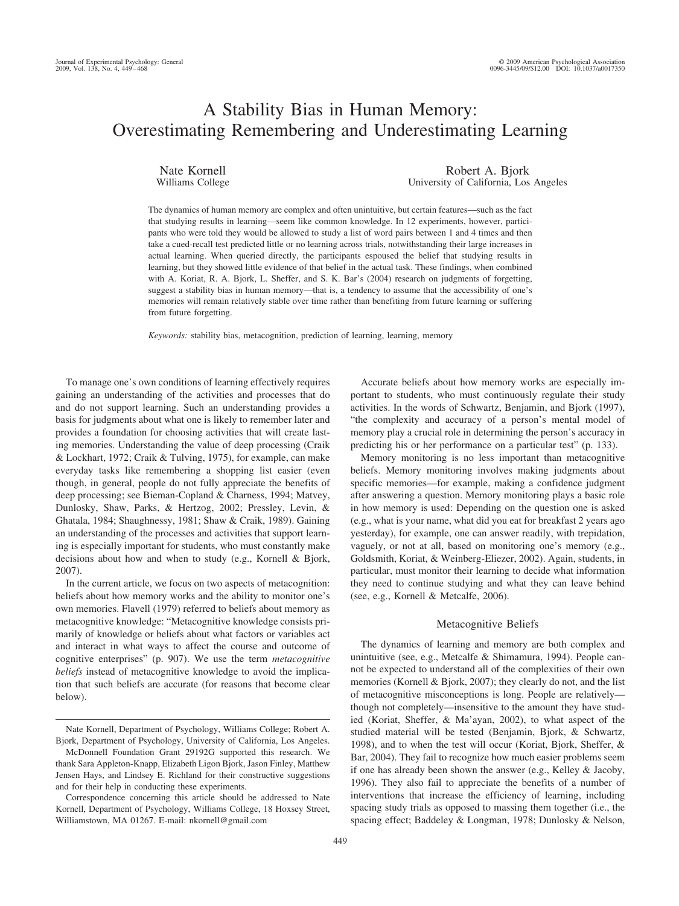# A Stability Bias in Human Memory: Overestimating Remembering and Underestimating Learning

Nate Kornell Williams College

Robert A. Bjork University of California, Los Angeles

The dynamics of human memory are complex and often unintuitive, but certain features—such as the fact that studying results in learning—seem like common knowledge. In 12 experiments, however, participants who were told they would be allowed to study a list of word pairs between 1 and 4 times and then take a cued-recall test predicted little or no learning across trials, notwithstanding their large increases in actual learning. When queried directly, the participants espoused the belief that studying results in learning, but they showed little evidence of that belief in the actual task. These findings, when combined with A. Koriat, R. A. Bjork, L. Sheffer, and S. K. Bar's (2004) research on judgments of forgetting, suggest a stability bias in human memory—that is, a tendency to assume that the accessibility of one's memories will remain relatively stable over time rather than benefiting from future learning or suffering from future forgetting.

*Keywords:* stability bias, metacognition, prediction of learning, learning, memory

To manage one's own conditions of learning effectively requires gaining an understanding of the activities and processes that do and do not support learning. Such an understanding provides a basis for judgments about what one is likely to remember later and provides a foundation for choosing activities that will create lasting memories. Understanding the value of deep processing (Craik & Lockhart, 1972; Craik & Tulving, 1975), for example, can make everyday tasks like remembering a shopping list easier (even though, in general, people do not fully appreciate the benefits of deep processing; see Bieman-Copland & Charness, 1994; Matvey, Dunlosky, Shaw, Parks, & Hertzog, 2002; Pressley, Levin, & Ghatala, 1984; Shaughnessy, 1981; Shaw & Craik, 1989). Gaining an understanding of the processes and activities that support learning is especially important for students, who must constantly make decisions about how and when to study (e.g., Kornell & Bjork, 2007).

In the current article, we focus on two aspects of metacognition: beliefs about how memory works and the ability to monitor one's own memories. Flavell (1979) referred to beliefs about memory as metacognitive knowledge: "Metacognitive knowledge consists primarily of knowledge or beliefs about what factors or variables act and interact in what ways to affect the course and outcome of cognitive enterprises" (p. 907). We use the term *metacognitive beliefs* instead of metacognitive knowledge to avoid the implication that such beliefs are accurate (for reasons that become clear below).

Accurate beliefs about how memory works are especially important to students, who must continuously regulate their study activities. In the words of Schwartz, Benjamin, and Bjork (1997), "the complexity and accuracy of a person's mental model of memory play a crucial role in determining the person's accuracy in predicting his or her performance on a particular test" (p. 133).

Memory monitoring is no less important than metacognitive beliefs. Memory monitoring involves making judgments about specific memories—for example, making a confidence judgment after answering a question. Memory monitoring plays a basic role in how memory is used: Depending on the question one is asked (e.g., what is your name, what did you eat for breakfast 2 years ago yesterday), for example, one can answer readily, with trepidation, vaguely, or not at all, based on monitoring one's memory (e.g., Goldsmith, Koriat, & Weinberg-Eliezer, 2002). Again, students, in particular, must monitor their learning to decide what information they need to continue studying and what they can leave behind (see, e.g., Kornell & Metcalfe, 2006).

#### Metacognitive Beliefs

The dynamics of learning and memory are both complex and unintuitive (see, e.g., Metcalfe & Shimamura, 1994). People cannot be expected to understand all of the complexities of their own memories (Kornell & Bjork, 2007); they clearly do not, and the list of metacognitive misconceptions is long. People are relatively though not completely—insensitive to the amount they have studied (Koriat, Sheffer, & Ma'ayan, 2002), to what aspect of the studied material will be tested (Benjamin, Bjork, & Schwartz, 1998), and to when the test will occur (Koriat, Bjork, Sheffer, & Bar, 2004). They fail to recognize how much easier problems seem if one has already been shown the answer (e.g., Kelley & Jacoby, 1996). They also fail to appreciate the benefits of a number of interventions that increase the efficiency of learning, including spacing study trials as opposed to massing them together (i.e., the spacing effect; Baddeley & Longman, 1978; Dunlosky & Nelson,

Nate Kornell, Department of Psychology, Williams College; Robert A. Bjork, Department of Psychology, University of California, Los Angeles.

McDonnell Foundation Grant 29192G supported this research. We thank Sara Appleton-Knapp, Elizabeth Ligon Bjork, Jason Finley, Matthew Jensen Hays, and Lindsey E. Richland for their constructive suggestions and for their help in conducting these experiments.

Correspondence concerning this article should be addressed to Nate Kornell, Department of Psychology, Williams College, 18 Hoxsey Street, Williamstown, MA 01267. E-mail: nkornell@gmail.com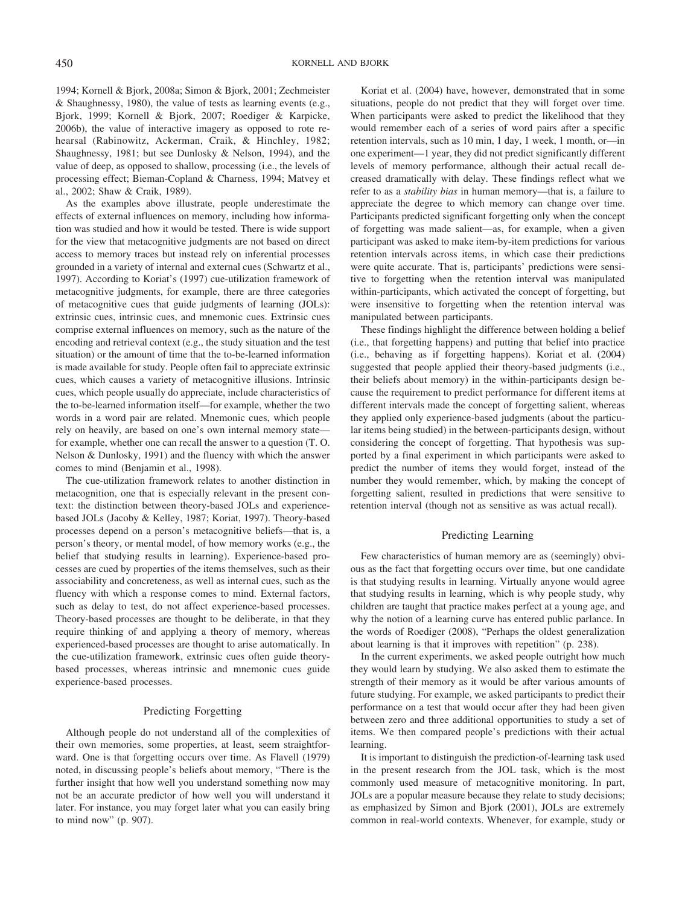1994; Kornell & Bjork, 2008a; Simon & Bjork, 2001; Zechmeister & Shaughnessy, 1980), the value of tests as learning events (e.g., Bjork, 1999; Kornell & Bjork, 2007; Roediger & Karpicke, 2006b), the value of interactive imagery as opposed to rote rehearsal (Rabinowitz, Ackerman, Craik, & Hinchley, 1982; Shaughnessy, 1981; but see Dunlosky & Nelson, 1994), and the value of deep, as opposed to shallow, processing (i.e., the levels of processing effect; Bieman-Copland & Charness, 1994; Matvey et al., 2002; Shaw & Craik, 1989).

As the examples above illustrate, people underestimate the effects of external influences on memory, including how information was studied and how it would be tested. There is wide support for the view that metacognitive judgments are not based on direct access to memory traces but instead rely on inferential processes grounded in a variety of internal and external cues (Schwartz et al., 1997). According to Koriat's (1997) cue-utilization framework of metacognitive judgments, for example, there are three categories of metacognitive cues that guide judgments of learning (JOLs): extrinsic cues, intrinsic cues, and mnemonic cues. Extrinsic cues comprise external influences on memory, such as the nature of the encoding and retrieval context (e.g., the study situation and the test situation) or the amount of time that the to-be-learned information is made available for study. People often fail to appreciate extrinsic cues, which causes a variety of metacognitive illusions. Intrinsic cues, which people usually do appreciate, include characteristics of the to-be-learned information itself—for example, whether the two words in a word pair are related. Mnemonic cues, which people rely on heavily, are based on one's own internal memory state for example, whether one can recall the answer to a question (T. O. Nelson & Dunlosky, 1991) and the fluency with which the answer comes to mind (Benjamin et al., 1998).

The cue-utilization framework relates to another distinction in metacognition, one that is especially relevant in the present context: the distinction between theory-based JOLs and experiencebased JOLs (Jacoby & Kelley, 1987; Koriat, 1997). Theory-based processes depend on a person's metacognitive beliefs—that is, a person's theory, or mental model, of how memory works (e.g., the belief that studying results in learning). Experience-based processes are cued by properties of the items themselves, such as their associability and concreteness, as well as internal cues, such as the fluency with which a response comes to mind. External factors, such as delay to test, do not affect experience-based processes. Theory-based processes are thought to be deliberate, in that they require thinking of and applying a theory of memory, whereas experienced-based processes are thought to arise automatically. In the cue-utilization framework, extrinsic cues often guide theorybased processes, whereas intrinsic and mnemonic cues guide experience-based processes.

# Predicting Forgetting

Although people do not understand all of the complexities of their own memories, some properties, at least, seem straightforward. One is that forgetting occurs over time. As Flavell (1979) noted, in discussing people's beliefs about memory, "There is the further insight that how well you understand something now may not be an accurate predictor of how well you will understand it later. For instance, you may forget later what you can easily bring to mind now" (p. 907).

Koriat et al. (2004) have, however, demonstrated that in some situations, people do not predict that they will forget over time. When participants were asked to predict the likelihood that they would remember each of a series of word pairs after a specific retention intervals, such as 10 min, 1 day, 1 week, 1 month, or—in one experiment—1 year, they did not predict significantly different levels of memory performance, although their actual recall decreased dramatically with delay. These findings reflect what we refer to as a *stability bias* in human memory—that is, a failure to appreciate the degree to which memory can change over time. Participants predicted significant forgetting only when the concept of forgetting was made salient—as, for example, when a given participant was asked to make item-by-item predictions for various retention intervals across items, in which case their predictions were quite accurate. That is, participants' predictions were sensitive to forgetting when the retention interval was manipulated within-participants, which activated the concept of forgetting, but were insensitive to forgetting when the retention interval was manipulated between participants.

These findings highlight the difference between holding a belief (i.e., that forgetting happens) and putting that belief into practice (i.e., behaving as if forgetting happens). Koriat et al. (2004) suggested that people applied their theory-based judgments (i.e., their beliefs about memory) in the within-participants design because the requirement to predict performance for different items at different intervals made the concept of forgetting salient, whereas they applied only experience-based judgments (about the particular items being studied) in the between-participants design, without considering the concept of forgetting. That hypothesis was supported by a final experiment in which participants were asked to predict the number of items they would forget, instead of the number they would remember, which, by making the concept of forgetting salient, resulted in predictions that were sensitive to retention interval (though not as sensitive as was actual recall).

# Predicting Learning

Few characteristics of human memory are as (seemingly) obvious as the fact that forgetting occurs over time, but one candidate is that studying results in learning. Virtually anyone would agree that studying results in learning, which is why people study, why children are taught that practice makes perfect at a young age, and why the notion of a learning curve has entered public parlance. In the words of Roediger (2008), "Perhaps the oldest generalization about learning is that it improves with repetition" (p. 238).

In the current experiments, we asked people outright how much they would learn by studying. We also asked them to estimate the strength of their memory as it would be after various amounts of future studying. For example, we asked participants to predict their performance on a test that would occur after they had been given between zero and three additional opportunities to study a set of items. We then compared people's predictions with their actual learning.

It is important to distinguish the prediction-of-learning task used in the present research from the JOL task, which is the most commonly used measure of metacognitive monitoring. In part, JOLs are a popular measure because they relate to study decisions; as emphasized by Simon and Bjork (2001), JOLs are extremely common in real-world contexts. Whenever, for example, study or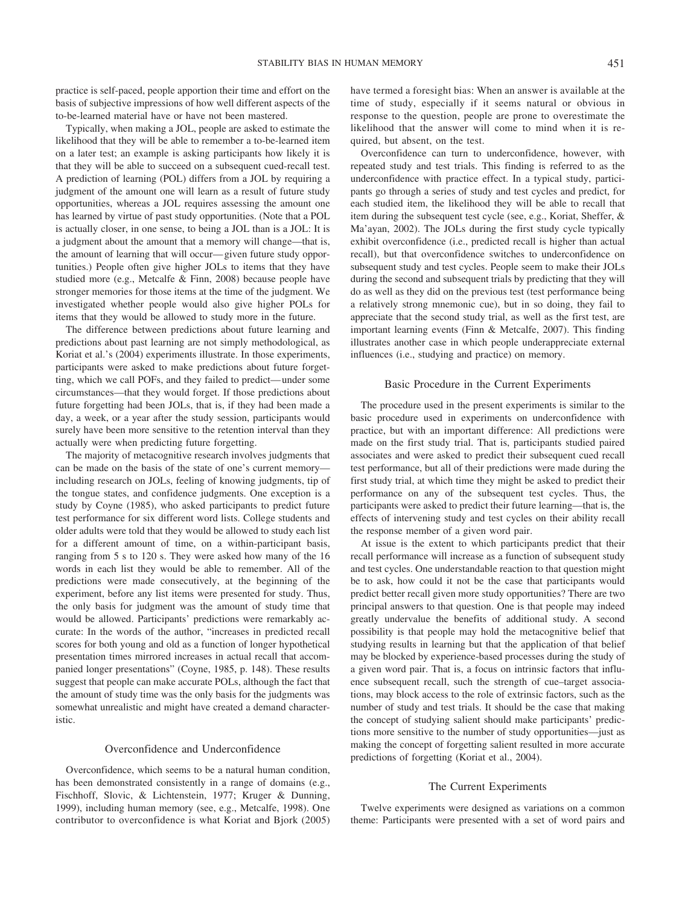practice is self-paced, people apportion their time and effort on the basis of subjective impressions of how well different aspects of the to-be-learned material have or have not been mastered.

Typically, when making a JOL, people are asked to estimate the likelihood that they will be able to remember a to-be-learned item on a later test; an example is asking participants how likely it is that they will be able to succeed on a subsequent cued-recall test. A prediction of learning (POL) differs from a JOL by requiring a judgment of the amount one will learn as a result of future study opportunities, whereas a JOL requires assessing the amount one has learned by virtue of past study opportunities. (Note that a POL is actually closer, in one sense, to being a JOL than is a JOL: It is a judgment about the amount that a memory will change—that is, the amount of learning that will occur— given future study opportunities.) People often give higher JOLs to items that they have studied more (e.g., Metcalfe & Finn, 2008) because people have stronger memories for those items at the time of the judgment. We investigated whether people would also give higher POLs for items that they would be allowed to study more in the future.

The difference between predictions about future learning and predictions about past learning are not simply methodological, as Koriat et al.'s (2004) experiments illustrate. In those experiments, participants were asked to make predictions about future forgetting, which we call POFs, and they failed to predict— under some circumstances—that they would forget. If those predictions about future forgetting had been JOLs, that is, if they had been made a day, a week, or a year after the study session, participants would surely have been more sensitive to the retention interval than they actually were when predicting future forgetting.

The majority of metacognitive research involves judgments that can be made on the basis of the state of one's current memory including research on JOLs, feeling of knowing judgments, tip of the tongue states, and confidence judgments. One exception is a study by Coyne (1985), who asked participants to predict future test performance for six different word lists. College students and older adults were told that they would be allowed to study each list for a different amount of time, on a within-participant basis, ranging from 5 s to 120 s. They were asked how many of the 16 words in each list they would be able to remember. All of the predictions were made consecutively, at the beginning of the experiment, before any list items were presented for study. Thus, the only basis for judgment was the amount of study time that would be allowed. Participants' predictions were remarkably accurate: In the words of the author, "increases in predicted recall scores for both young and old as a function of longer hypothetical presentation times mirrored increases in actual recall that accompanied longer presentations" (Coyne, 1985, p. 148). These results suggest that people can make accurate POLs, although the fact that the amount of study time was the only basis for the judgments was somewhat unrealistic and might have created a demand characteristic.

#### Overconfidence and Underconfidence

Overconfidence, which seems to be a natural human condition, has been demonstrated consistently in a range of domains (e.g., Fischhoff, Slovic, & Lichtenstein, 1977; Kruger & Dunning, 1999), including human memory (see, e.g., Metcalfe, 1998). One contributor to overconfidence is what Koriat and Bjork (2005) have termed a foresight bias: When an answer is available at the time of study, especially if it seems natural or obvious in response to the question, people are prone to overestimate the likelihood that the answer will come to mind when it is required, but absent, on the test.

Overconfidence can turn to underconfidence, however, with repeated study and test trials. This finding is referred to as the underconfidence with practice effect. In a typical study, participants go through a series of study and test cycles and predict, for each studied item, the likelihood they will be able to recall that item during the subsequent test cycle (see, e.g., Koriat, Sheffer, & Ma'ayan, 2002). The JOLs during the first study cycle typically exhibit overconfidence (i.e., predicted recall is higher than actual recall), but that overconfidence switches to underconfidence on subsequent study and test cycles. People seem to make their JOLs during the second and subsequent trials by predicting that they will do as well as they did on the previous test (test performance being a relatively strong mnemonic cue), but in so doing, they fail to appreciate that the second study trial, as well as the first test, are important learning events (Finn & Metcalfe, 2007). This finding illustrates another case in which people underappreciate external influences (i.e., studying and practice) on memory.

# Basic Procedure in the Current Experiments

The procedure used in the present experiments is similar to the basic procedure used in experiments on underconfidence with practice, but with an important difference: All predictions were made on the first study trial. That is, participants studied paired associates and were asked to predict their subsequent cued recall test performance, but all of their predictions were made during the first study trial, at which time they might be asked to predict their performance on any of the subsequent test cycles. Thus, the participants were asked to predict their future learning—that is, the effects of intervening study and test cycles on their ability recall the response member of a given word pair.

At issue is the extent to which participants predict that their recall performance will increase as a function of subsequent study and test cycles. One understandable reaction to that question might be to ask, how could it not be the case that participants would predict better recall given more study opportunities? There are two principal answers to that question. One is that people may indeed greatly undervalue the benefits of additional study. A second possibility is that people may hold the metacognitive belief that studying results in learning but that the application of that belief may be blocked by experience-based processes during the study of a given word pair. That is, a focus on intrinsic factors that influence subsequent recall, such the strength of cue–target associations, may block access to the role of extrinsic factors, such as the number of study and test trials. It should be the case that making the concept of studying salient should make participants' predictions more sensitive to the number of study opportunities—just as making the concept of forgetting salient resulted in more accurate predictions of forgetting (Koriat et al., 2004).

# The Current Experiments

Twelve experiments were designed as variations on a common theme: Participants were presented with a set of word pairs and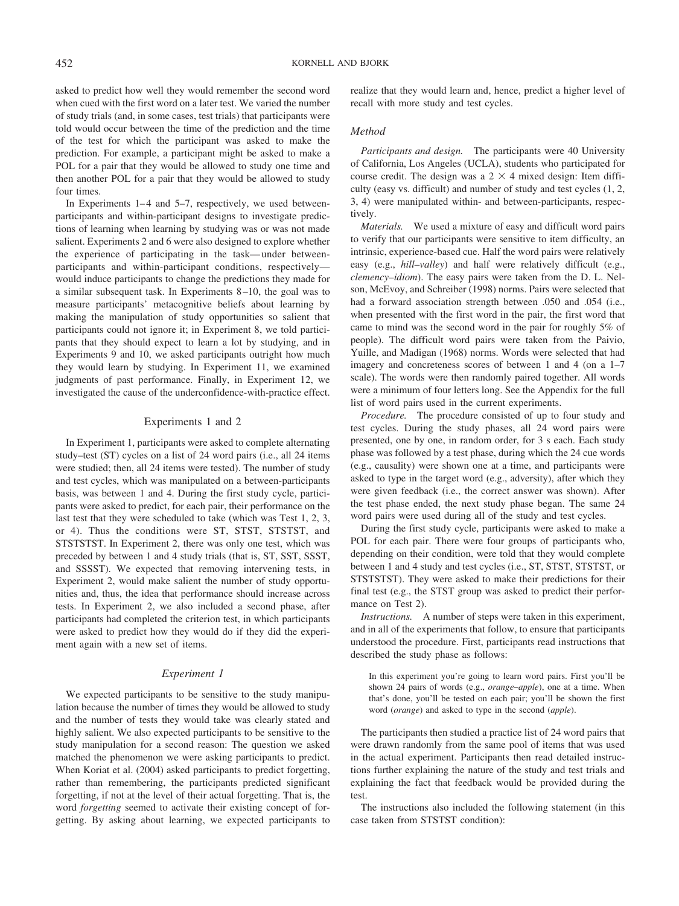asked to predict how well they would remember the second word when cued with the first word on a later test. We varied the number of study trials (and, in some cases, test trials) that participants were told would occur between the time of the prediction and the time of the test for which the participant was asked to make the prediction. For example, a participant might be asked to make a POL for a pair that they would be allowed to study one time and then another POL for a pair that they would be allowed to study four times.

In Experiments  $1-4$  and  $5-7$ , respectively, we used betweenparticipants and within-participant designs to investigate predictions of learning when learning by studying was or was not made salient. Experiments 2 and 6 were also designed to explore whether the experience of participating in the task— under betweenparticipants and within-participant conditions, respectively would induce participants to change the predictions they made for a similar subsequent task. In Experiments 8 –10, the goal was to measure participants' metacognitive beliefs about learning by making the manipulation of study opportunities so salient that participants could not ignore it; in Experiment 8, we told participants that they should expect to learn a lot by studying, and in Experiments 9 and 10, we asked participants outright how much they would learn by studying. In Experiment 11, we examined judgments of past performance. Finally, in Experiment 12, we investigated the cause of the underconfidence-with-practice effect.

# Experiments 1 and 2

In Experiment 1, participants were asked to complete alternating study–test (ST) cycles on a list of 24 word pairs (i.e., all 24 items were studied; then, all 24 items were tested). The number of study and test cycles, which was manipulated on a between-participants basis, was between 1 and 4. During the first study cycle, participants were asked to predict, for each pair, their performance on the last test that they were scheduled to take (which was Test 1, 2, 3, or 4). Thus the conditions were ST, STST, STSTST, and STSTSTST. In Experiment 2, there was only one test, which was preceded by between 1 and 4 study trials (that is, ST, SST, SSST, and SSSST). We expected that removing intervening tests, in Experiment 2, would make salient the number of study opportunities and, thus, the idea that performance should increase across tests. In Experiment 2, we also included a second phase, after participants had completed the criterion test, in which participants were asked to predict how they would do if they did the experiment again with a new set of items.

#### *Experiment 1*

We expected participants to be sensitive to the study manipulation because the number of times they would be allowed to study and the number of tests they would take was clearly stated and highly salient. We also expected participants to be sensitive to the study manipulation for a second reason: The question we asked matched the phenomenon we were asking participants to predict. When Koriat et al. (2004) asked participants to predict forgetting, rather than remembering, the participants predicted significant forgetting, if not at the level of their actual forgetting. That is, the word *forgetting* seemed to activate their existing concept of forgetting. By asking about learning, we expected participants to realize that they would learn and, hence, predict a higher level of recall with more study and test cycles.

# *Method*

*Participants and design.* The participants were 40 University of California, Los Angeles (UCLA), students who participated for course credit. The design was a  $2 \times 4$  mixed design: Item difficulty (easy vs. difficult) and number of study and test cycles (1, 2, 3, 4) were manipulated within- and between-participants, respectively.

*Materials.* We used a mixture of easy and difficult word pairs to verify that our participants were sensitive to item difficulty, an intrinsic, experience-based cue. Half the word pairs were relatively easy (e.g., *hill–valley*) and half were relatively difficult (e.g., *clemency–idiom*). The easy pairs were taken from the D. L. Nelson, McEvoy, and Schreiber (1998) norms. Pairs were selected that had a forward association strength between .050 and .054 (i.e., when presented with the first word in the pair, the first word that came to mind was the second word in the pair for roughly 5% of people). The difficult word pairs were taken from the Paivio, Yuille, and Madigan (1968) norms. Words were selected that had imagery and concreteness scores of between 1 and 4 (on a 1–7 scale). The words were then randomly paired together. All words were a minimum of four letters long. See the Appendix for the full list of word pairs used in the current experiments.

*Procedure.* The procedure consisted of up to four study and test cycles. During the study phases, all 24 word pairs were presented, one by one, in random order, for 3 s each. Each study phase was followed by a test phase, during which the 24 cue words (e.g., causality) were shown one at a time, and participants were asked to type in the target word (e.g., adversity), after which they were given feedback (i.e., the correct answer was shown). After the test phase ended, the next study phase began. The same 24 word pairs were used during all of the study and test cycles.

During the first study cycle, participants were asked to make a POL for each pair. There were four groups of participants who, depending on their condition, were told that they would complete between 1 and 4 study and test cycles (i.e., ST, STST, STSTST, or STSTSTST). They were asked to make their predictions for their final test (e.g., the STST group was asked to predict their performance on Test 2).

*Instructions.* A number of steps were taken in this experiment, and in all of the experiments that follow, to ensure that participants understood the procedure. First, participants read instructions that described the study phase as follows:

In this experiment you're going to learn word pairs. First you'll be shown 24 pairs of words (e.g., *orange–apple*), one at a time. When that's done, you'll be tested on each pair; you'll be shown the first word (*orange*) and asked to type in the second (*apple*).

The participants then studied a practice list of 24 word pairs that were drawn randomly from the same pool of items that was used in the actual experiment. Participants then read detailed instructions further explaining the nature of the study and test trials and explaining the fact that feedback would be provided during the test.

The instructions also included the following statement (in this case taken from STSTST condition):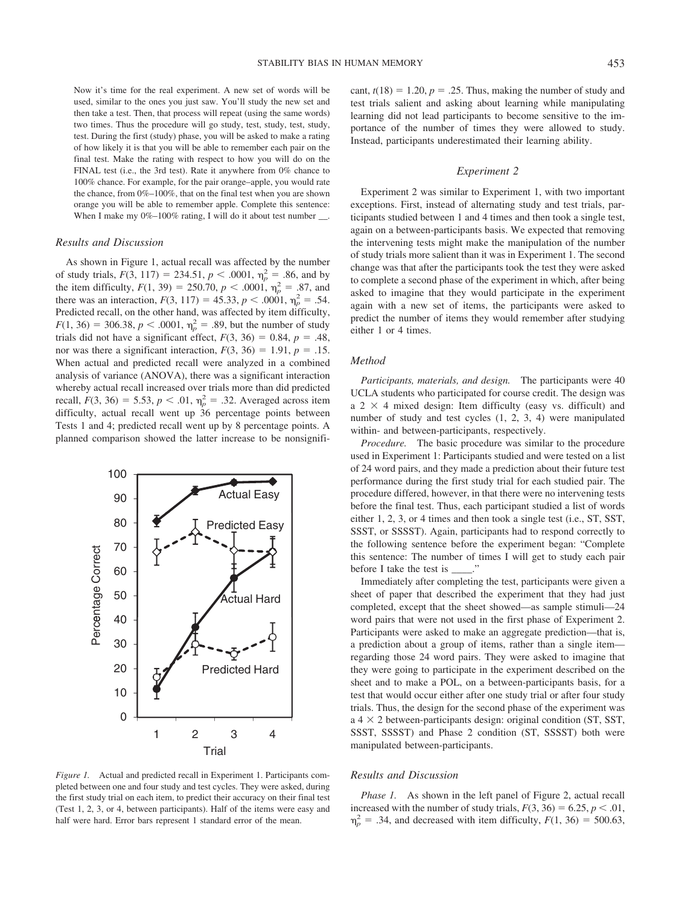Now it's time for the real experiment. A new set of words will be used, similar to the ones you just saw. You'll study the new set and then take a test. Then, that process will repeat (using the same words) two times. Thus the procedure will go study, test, study, test, study, test. During the first (study) phase, you will be asked to make a rating of how likely it is that you will be able to remember each pair on the final test. Make the rating with respect to how you will do on the FINAL test (i.e., the 3rd test). Rate it anywhere from 0% chance to 100% chance. For example, for the pair orange–apple, you would rate the chance, from 0%–100%, that on the final test when you are shown orange you will be able to remember apple. Complete this sentence: When I make my  $0\% - 100\%$  rating, I will do it about test number  $\_\_$ .

#### *Results and Discussion*

As shown in Figure 1, actual recall was affected by the number of study trials,  $F(3, 117) = 234.51$ ,  $p < .0001$ ,  $\eta_p^2 = .86$ , and by the item difficulty,  $F(1, 39) = 250.70$ ,  $p < .0001$ ,  $\eta_p^2 = .87$ , and there was an interaction,  $F(3, 117) = 45.33, p < .0001, \eta_p^2 = .54$ . Predicted recall, on the other hand, was affected by item difficulty,  $F(1, 36) = 306.38, p < .0001, \eta_p^2 = .89$ , but the number of study trials did not have a significant effect,  $F(3, 36) = 0.84$ ,  $p = .48$ , nor was there a significant interaction,  $F(3, 36) = 1.91$ ,  $p = .15$ . When actual and predicted recall were analyzed in a combined analysis of variance (ANOVA), there was a significant interaction whereby actual recall increased over trials more than did predicted recall,  $F(3, 36) = 5.53$ ,  $p < .01$ ,  $\eta_p^2 = .32$ . Averaged across item difficulty, actual recall went up 36 percentage points between Tests 1 and 4; predicted recall went up by 8 percentage points. A planned comparison showed the latter increase to be nonsignifi-



*Figure 1.* Actual and predicted recall in Experiment 1. Participants completed between one and four study and test cycles. They were asked, during the first study trial on each item, to predict their accuracy on their final test (Test 1, 2, 3, or 4, between participants). Half of the items were easy and half were hard. Error bars represent 1 standard error of the mean.

cant,  $t(18) = 1.20$ ,  $p = .25$ . Thus, making the number of study and test trials salient and asking about learning while manipulating learning did not lead participants to become sensitive to the importance of the number of times they were allowed to study. Instead, participants underestimated their learning ability.

#### *Experiment 2*

Experiment 2 was similar to Experiment 1, with two important exceptions. First, instead of alternating study and test trials, participants studied between 1 and 4 times and then took a single test, again on a between-participants basis. We expected that removing the intervening tests might make the manipulation of the number of study trials more salient than it was in Experiment 1. The second change was that after the participants took the test they were asked to complete a second phase of the experiment in which, after being asked to imagine that they would participate in the experiment again with a new set of items, the participants were asked to predict the number of items they would remember after studying either 1 or 4 times.

#### *Method*

*Participants, materials, and design.* The participants were 40 UCLA students who participated for course credit. The design was a  $2 \times 4$  mixed design: Item difficulty (easy vs. difficult) and number of study and test cycles (1, 2, 3, 4) were manipulated within- and between-participants, respectively.

*Procedure.* The basic procedure was similar to the procedure used in Experiment 1: Participants studied and were tested on a list of 24 word pairs, and they made a prediction about their future test performance during the first study trial for each studied pair. The procedure differed, however, in that there were no intervening tests before the final test. Thus, each participant studied a list of words either 1, 2, 3, or 4 times and then took a single test (i.e., ST, SST, SSST, or SSSST). Again, participants had to respond correctly to the following sentence before the experiment began: "Complete this sentence: The number of times I will get to study each pair before I take the test is \_

Immediately after completing the test, participants were given a sheet of paper that described the experiment that they had just completed, except that the sheet showed—as sample stimuli—24 word pairs that were not used in the first phase of Experiment 2. Participants were asked to make an aggregate prediction—that is, a prediction about a group of items, rather than a single item regarding those 24 word pairs. They were asked to imagine that they were going to participate in the experiment described on the sheet and to make a POL, on a between-participants basis, for a test that would occur either after one study trial or after four study trials. Thus, the design for the second phase of the experiment was  $a \, 4 \times 2$  between-participants design: original condition (ST, SST, SSST, SSSST) and Phase 2 condition (ST, SSSST) both were manipulated between-participants.

#### *Results and Discussion*

*Phase 1.* As shown in the left panel of Figure 2, actual recall increased with the number of study trials,  $F(3, 36) = 6.25, p < .01$ ,  $\eta_p^2$  = .34, and decreased with item difficulty,  $F(1, 36) = 500.63$ ,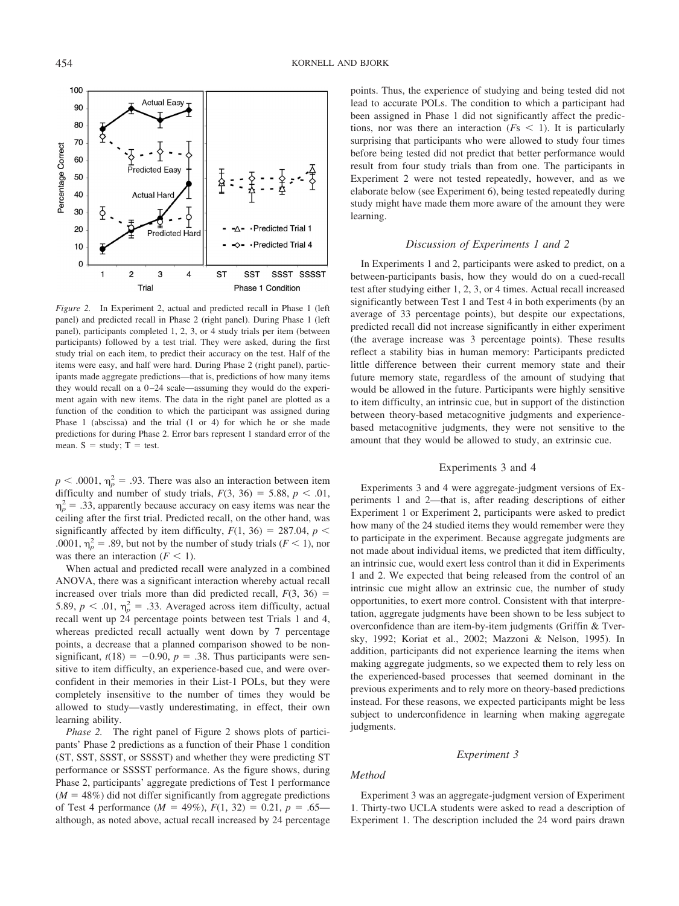

*Figure 2.* In Experiment 2, actual and predicted recall in Phase 1 (left panel) and predicted recall in Phase 2 (right panel). During Phase 1 (left panel), participants completed 1, 2, 3, or 4 study trials per item (between participants) followed by a test trial. They were asked, during the first study trial on each item, to predict their accuracy on the test. Half of the items were easy, and half were hard. During Phase 2 (right panel), participants made aggregate predictions—that is, predictions of how many items they would recall on a  $0-24$  scale—assuming they would do the experiment again with new items. The data in the right panel are plotted as a function of the condition to which the participant was assigned during Phase 1 (abscissa) and the trial (1 or 4) for which he or she made predictions for during Phase 2. Error bars represent 1 standard error of the mean.  $S = study$ ;  $T = test$ .

 $p < .0001$ ,  $\eta_p^2 = .93$ . There was also an interaction between item difficulty and number of study trials,  $F(3, 36) = 5.88$ ,  $p < .01$ ,  $\eta_p^2 = 0.33$ , apparently because accuracy on easy items was near the ceiling after the first trial. Predicted recall, on the other hand, was significantly affected by item difficulty,  $F(1, 36) = 287.04$ ,  $p <$ .0001,  $\eta_p^2 = .89$ , but not by the number of study trials ( $F < 1$ ), nor was there an interaction  $(F < 1)$ .

When actual and predicted recall were analyzed in a combined ANOVA, there was a significant interaction whereby actual recall increased over trials more than did predicted recall,  $F(3, 36) =$ 5.89,  $p < .01$ ,  $\eta_p^2 = .33$ . Averaged across item difficulty, actual recall went up 24 percentage points between test Trials 1 and 4, whereas predicted recall actually went down by 7 percentage points, a decrease that a planned comparison showed to be nonsignificant,  $t(18) = -0.90$ ,  $p = .38$ . Thus participants were sensitive to item difficulty, an experience-based cue, and were overconfident in their memories in their List-1 POLs, but they were completely insensitive to the number of times they would be allowed to study—vastly underestimating, in effect, their own learning ability.

*Phase 2.* The right panel of Figure 2 shows plots of participants' Phase 2 predictions as a function of their Phase 1 condition (ST, SST, SSST, or SSSST) and whether they were predicting ST performance or SSSST performance. As the figure shows, during Phase 2, participants' aggregate predictions of Test 1 performance  $(M = 48\%)$  did not differ significantly from aggregate predictions of Test 4 performance  $(M = 49\%)$ ,  $F(1, 32) = 0.21$ ,  $p = .65$  although, as noted above, actual recall increased by 24 percentage points. Thus, the experience of studying and being tested did not lead to accurate POLs. The condition to which a participant had been assigned in Phase 1 did not significantly affect the predictions, nor was there an interaction  $(Fs \leq 1)$ . It is particularly surprising that participants who were allowed to study four times before being tested did not predict that better performance would result from four study trials than from one. The participants in Experiment 2 were not tested repeatedly, however, and as we elaborate below (see Experiment 6), being tested repeatedly during study might have made them more aware of the amount they were learning.

#### *Discussion of Experiments 1 and 2*

In Experiments 1 and 2, participants were asked to predict, on a between-participants basis, how they would do on a cued-recall test after studying either 1, 2, 3, or 4 times. Actual recall increased significantly between Test 1 and Test 4 in both experiments (by an average of 33 percentage points), but despite our expectations, predicted recall did not increase significantly in either experiment (the average increase was 3 percentage points). These results reflect a stability bias in human memory: Participants predicted little difference between their current memory state and their future memory state, regardless of the amount of studying that would be allowed in the future. Participants were highly sensitive to item difficulty, an intrinsic cue, but in support of the distinction between theory-based metacognitive judgments and experiencebased metacognitive judgments, they were not sensitive to the amount that they would be allowed to study, an extrinsic cue.

#### Experiments 3 and 4

Experiments 3 and 4 were aggregate-judgment versions of Experiments 1 and 2—that is, after reading descriptions of either Experiment 1 or Experiment 2, participants were asked to predict how many of the 24 studied items they would remember were they to participate in the experiment. Because aggregate judgments are not made about individual items, we predicted that item difficulty, an intrinsic cue, would exert less control than it did in Experiments 1 and 2. We expected that being released from the control of an intrinsic cue might allow an extrinsic cue, the number of study opportunities, to exert more control. Consistent with that interpretation, aggregate judgments have been shown to be less subject to overconfidence than are item-by-item judgments (Griffin & Tversky, 1992; Koriat et al., 2002; Mazzoni & Nelson, 1995). In addition, participants did not experience learning the items when making aggregate judgments, so we expected them to rely less on the experienced-based processes that seemed dominant in the previous experiments and to rely more on theory-based predictions instead. For these reasons, we expected participants might be less subject to underconfidence in learning when making aggregate judgments.

## *Experiment 3*

#### *Method*

Experiment 3 was an aggregate-judgment version of Experiment 1. Thirty-two UCLA students were asked to read a description of Experiment 1. The description included the 24 word pairs drawn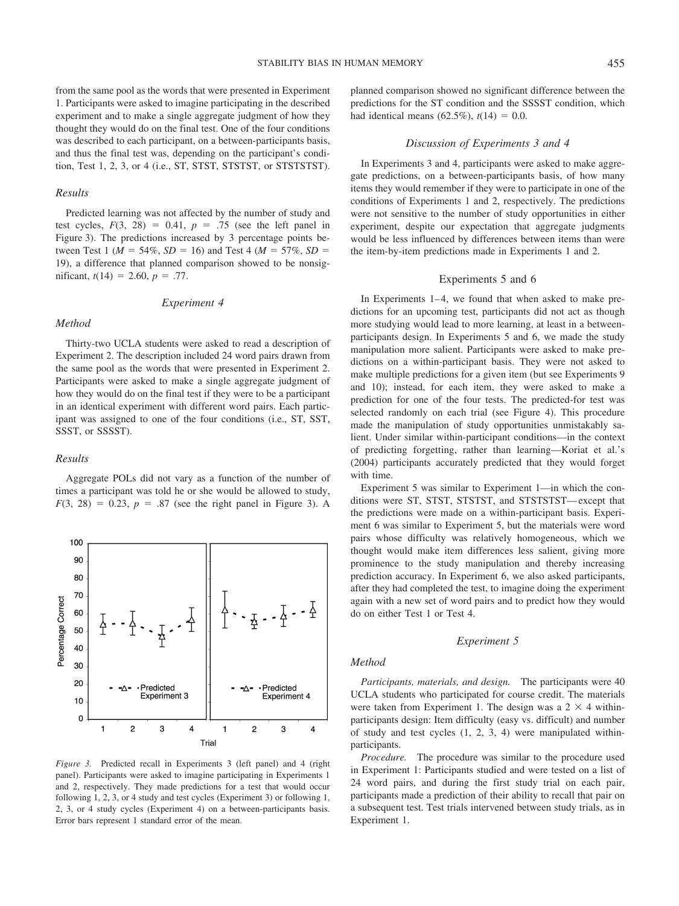from the same pool as the words that were presented in Experiment 1. Participants were asked to imagine participating in the described experiment and to make a single aggregate judgment of how they thought they would do on the final test. One of the four conditions was described to each participant, on a between-participants basis, and thus the final test was, depending on the participant's condition, Test 1, 2, 3, or 4 (i.e., ST, STST, STSTST, or STSTSTST).

#### *Results*

Predicted learning was not affected by the number of study and test cycles,  $F(3, 28) = 0.41$ ,  $p = .75$  (see the left panel in Figure 3). The predictions increased by 3 percentage points between Test 1 ( $M = 54\%, SD = 16$ ) and Test 4 ( $M = 57\%, SD =$ 19), a difference that planned comparison showed to be nonsignificant,  $t(14) = 2.60, p = .77$ .

# *Experiment 4*

## *Method*

Thirty-two UCLA students were asked to read a description of Experiment 2. The description included 24 word pairs drawn from the same pool as the words that were presented in Experiment 2. Participants were asked to make a single aggregate judgment of how they would do on the final test if they were to be a participant in an identical experiment with different word pairs. Each participant was assigned to one of the four conditions (i.e., ST, SST, SSST, or SSSST).

#### *Results*

Aggregate POLs did not vary as a function of the number of times a participant was told he or she would be allowed to study,  $F(3, 28) = 0.23$ ,  $p = .87$  (see the right panel in Figure 3). A



*Figure 3.* Predicted recall in Experiments 3 (left panel) and 4 (right panel). Participants were asked to imagine participating in Experiments 1 and 2, respectively. They made predictions for a test that would occur following 1, 2, 3, or 4 study and test cycles (Experiment 3) or following 1, 2, 3, or 4 study cycles (Experiment 4) on a between-participants basis. Error bars represent 1 standard error of the mean.

planned comparison showed no significant difference between the predictions for the ST condition and the SSSST condition, which had identical means  $(62.5\%), t(14) = 0.0.$ 

# *Discussion of Experiments 3 and 4*

In Experiments 3 and 4, participants were asked to make aggregate predictions, on a between-participants basis, of how many items they would remember if they were to participate in one of the conditions of Experiments 1 and 2, respectively. The predictions were not sensitive to the number of study opportunities in either experiment, despite our expectation that aggregate judgments would be less influenced by differences between items than were the item-by-item predictions made in Experiments 1 and 2.

#### Experiments 5 and 6

In Experiments  $1-4$ , we found that when asked to make predictions for an upcoming test, participants did not act as though more studying would lead to more learning, at least in a betweenparticipants design. In Experiments 5 and 6, we made the study manipulation more salient. Participants were asked to make predictions on a within-participant basis. They were not asked to make multiple predictions for a given item (but see Experiments 9 and 10); instead, for each item, they were asked to make a prediction for one of the four tests. The predicted-for test was selected randomly on each trial (see Figure 4). This procedure made the manipulation of study opportunities unmistakably salient. Under similar within-participant conditions—in the context of predicting forgetting, rather than learning—Koriat et al.'s (2004) participants accurately predicted that they would forget with time.

Experiment 5 was similar to Experiment 1—in which the conditions were ST, STST, STSTST, and STSTSTST— except that the predictions were made on a within-participant basis. Experiment 6 was similar to Experiment 5, but the materials were word pairs whose difficulty was relatively homogeneous, which we thought would make item differences less salient, giving more prominence to the study manipulation and thereby increasing prediction accuracy. In Experiment 6, we also asked participants, after they had completed the test, to imagine doing the experiment again with a new set of word pairs and to predict how they would do on either Test 1 or Test 4.

## *Experiment 5*

# *Method*

*Participants, materials, and design.* The participants were 40 UCLA students who participated for course credit. The materials were taken from Experiment 1. The design was a  $2 \times 4$  withinparticipants design: Item difficulty (easy vs. difficult) and number of study and test cycles (1, 2, 3, 4) were manipulated withinparticipants.

*Procedure.* The procedure was similar to the procedure used in Experiment 1: Participants studied and were tested on a list of 24 word pairs, and during the first study trial on each pair, participants made a prediction of their ability to recall that pair on a subsequent test. Test trials intervened between study trials, as in Experiment 1.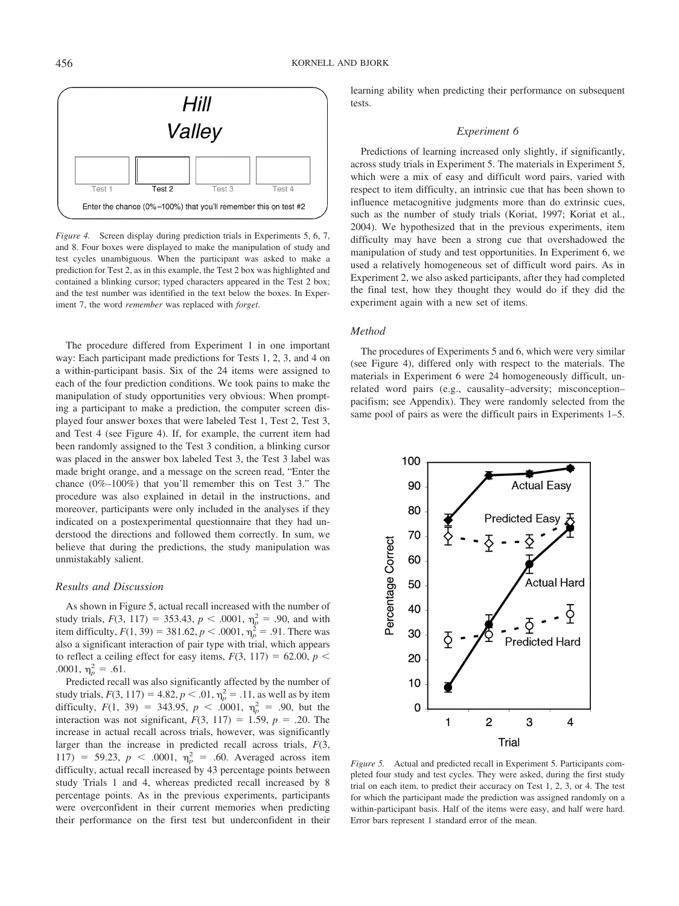

*Figure 4.* Screen display during prediction trials in Experiments 5, 6, 7, and 8. Four boxes were displayed to make the manipulation of study and test cycles unambiguous. When the participant was asked to make a prediction for Test 2, as in this example, the Test 2 box was highlighted and contained a blinking cursor; typed characters appeared in the Test 2 box; and the test number was identified in the text below the boxes. In Experiment 7, the word *remember* was replaced with *forget*.

The procedure differed from Experiment 1 in one important way: Each participant made predictions for Tests 1, 2, 3, and 4 on a within-participant basis. Six of the 24 items were assigned to each of the four prediction conditions. We took pains to make the manipulation of study opportunities very obvious: When prompting a participant to make a prediction, the computer screen displayed four answer boxes that were labeled Test 1, Test 2, Test 3, and Test 4 (see Figure 4). If, for example, the current item had been randomly assigned to the Test 3 condition, a blinking cursor was placed in the answer box labeled Test 3, the Test 3 label was made bright orange, and a message on the screen read, "Enter the chance (0%–100%) that you'll remember this on Test 3." The procedure was also explained in detail in the instructions, and moreover, participants were only included in the analyses if they indicated on a postexperimental questionnaire that they had understood the directions and followed them correctly. In sum, we believe that during the predictions, the study manipulation was unmistakably salient.

## *Results and Discussion*

As shown in Figure 5, actual recall increased with the number of study trials,  $F(3, 117) = 353.43, p < .0001, \eta_p^2 = .90$ , and with item difficulty,  $F(1, 39) = 381.62$ ,  $p < .0001$ ,  $\eta_p^2 = .91$ . There was also a significant interaction of pair type with trial, which appears to reflect a ceiling effect for easy items,  $F(3, 117) = 62.00, p <$ .0001,  $\eta_p^2 = .61$ .

Predicted recall was also significantly affected by the number of study trials,  $F(3, 117) = 4.82, p < .01, \eta_p^2 = .11$ , as well as by item difficulty,  $F(1, 39) = 343.95$ ,  $p < .0001$ ,  $\eta_p^2 = .90$ , but the interaction was not significant,  $F(3, 117) = 1.59$ ,  $p = .20$ . The increase in actual recall across trials, however, was significantly larger than the increase in predicted recall across trials, *F*(3, 117) = 59.23,  $p < .0001$ ,  $\eta_p^2 = .60$ . Averaged across item difficulty, actual recall increased by 43 percentage points between study Trials 1 and 4, whereas predicted recall increased by 8 percentage points. As in the previous experiments, participants were overconfident in their current memories when predicting their performance on the first test but underconfident in their learning ability when predicting their performance on subsequent tests.

# *Experiment 6*

Predictions of learning increased only slightly, if significantly, across study trials in Experiment 5. The materials in Experiment 5, which were a mix of easy and difficult word pairs, varied with respect to item difficulty, an intrinsic cue that has been shown to influence metacognitive judgments more than do extrinsic cues, such as the number of study trials (Koriat, 1997; Koriat et al., 2004). We hypothesized that in the previous experiments, item difficulty may have been a strong cue that overshadowed the manipulation of study and test opportunities. In Experiment 6, we used a relatively homogeneous set of difficult word pairs. As in Experiment 2, we also asked participants, after they had completed the final test, how they thought they would do if they did the experiment again with a new set of items.

#### *Method*

The procedures of Experiments 5 and 6, which were very similar (see Figure 4), differed only with respect to the materials. The materials in Experiment 6 were 24 homogeneously difficult, unrelated word pairs (e.g., causality–adversity; misconception– pacifism; see Appendix). They were randomly selected from the same pool of pairs as were the difficult pairs in Experiments 1–5.



*Figure 5.* Actual and predicted recall in Experiment 5. Participants completed four study and test cycles. They were asked, during the first study trial on each item, to predict their accuracy on Test 1, 2, 3, or 4. The test for which the participant made the prediction was assigned randomly on a within-participant basis. Half of the items were easy, and half were hard. Error bars represent 1 standard error of the mean.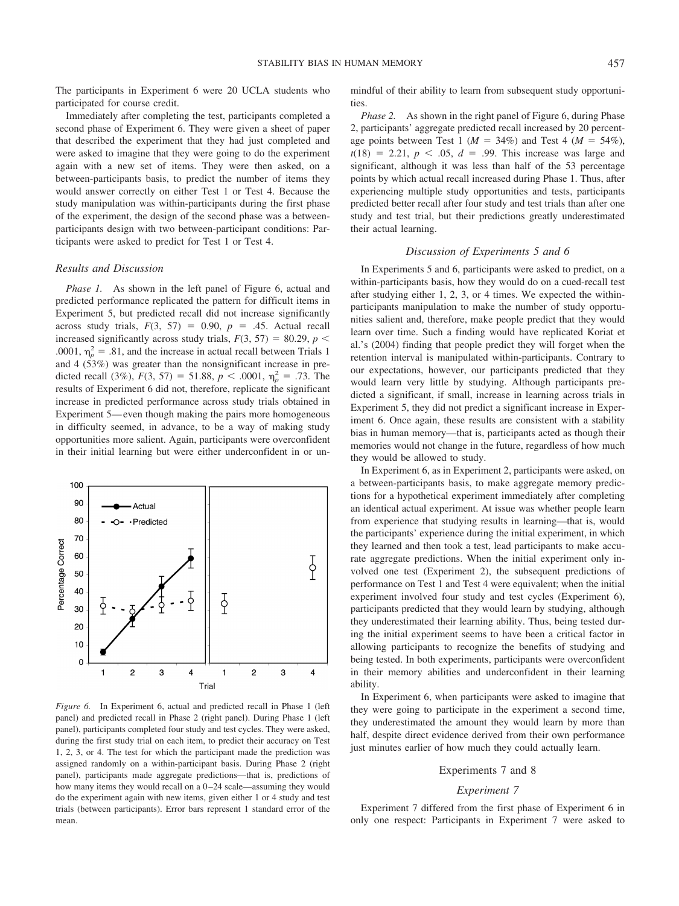The participants in Experiment 6 were 20 UCLA students who participated for course credit.

Immediately after completing the test, participants completed a second phase of Experiment 6. They were given a sheet of paper that described the experiment that they had just completed and were asked to imagine that they were going to do the experiment again with a new set of items. They were then asked, on a between-participants basis, to predict the number of items they would answer correctly on either Test 1 or Test 4. Because the study manipulation was within-participants during the first phase of the experiment, the design of the second phase was a betweenparticipants design with two between-participant conditions: Participants were asked to predict for Test 1 or Test 4.

#### *Results and Discussion*

*Phase 1.* As shown in the left panel of Figure 6, actual and predicted performance replicated the pattern for difficult items in Experiment 5, but predicted recall did not increase significantly across study trials,  $F(3, 57) = 0.90$ ,  $p = .45$ . Actual recall increased significantly across study trials,  $F(3, 57) = 80.29$ ,  $p <$ .0001,  $\eta_p^2 = .81$ , and the increase in actual recall between Trials 1 and 4 (53%) was greater than the nonsignificant increase in predicted recall (3%),  $F(3, 57) = 51.88$ ,  $p < .0001$ ,  $\eta_p^2 = .73$ . The results of Experiment 6 did not, therefore, replicate the significant increase in predicted performance across study trials obtained in Experiment 5— even though making the pairs more homogeneous in difficulty seemed, in advance, to be a way of making study opportunities more salient. Again, participants were overconfident in their initial learning but were either underconfident in or un-



*Figure 6.* In Experiment 6, actual and predicted recall in Phase 1 (left panel) and predicted recall in Phase 2 (right panel). During Phase 1 (left panel), participants completed four study and test cycles. They were asked, during the first study trial on each item, to predict their accuracy on Test 1, 2, 3, or 4. The test for which the participant made the prediction was assigned randomly on a within-participant basis. During Phase 2 (right panel), participants made aggregate predictions—that is, predictions of how many items they would recall on a 0-24 scale—assuming they would do the experiment again with new items, given either 1 or 4 study and test trials (between participants). Error bars represent 1 standard error of the mean.

mindful of their ability to learn from subsequent study opportunities.

*Phase 2.* As shown in the right panel of Figure 6, during Phase 2, participants' aggregate predicted recall increased by 20 percentage points between Test 1 ( $M = 34\%$ ) and Test 4 ( $M = 54\%$ ),  $t(18) = 2.21, p < .05, d = .99$ . This increase was large and significant, although it was less than half of the 53 percentage points by which actual recall increased during Phase 1. Thus, after experiencing multiple study opportunities and tests, participants predicted better recall after four study and test trials than after one study and test trial, but their predictions greatly underestimated their actual learning.

# *Discussion of Experiments 5 and 6*

In Experiments 5 and 6, participants were asked to predict, on a within-participants basis, how they would do on a cued-recall test after studying either 1, 2, 3, or 4 times. We expected the withinparticipants manipulation to make the number of study opportunities salient and, therefore, make people predict that they would learn over time. Such a finding would have replicated Koriat et al.'s (2004) finding that people predict they will forget when the retention interval is manipulated within-participants. Contrary to our expectations, however, our participants predicted that they would learn very little by studying. Although participants predicted a significant, if small, increase in learning across trials in Experiment 5, they did not predict a significant increase in Experiment 6. Once again, these results are consistent with a stability bias in human memory—that is, participants acted as though their memories would not change in the future, regardless of how much they would be allowed to study.

In Experiment 6, as in Experiment 2, participants were asked, on a between-participants basis, to make aggregate memory predictions for a hypothetical experiment immediately after completing an identical actual experiment. At issue was whether people learn from experience that studying results in learning—that is, would the participants' experience during the initial experiment, in which they learned and then took a test, lead participants to make accurate aggregate predictions. When the initial experiment only involved one test (Experiment 2), the subsequent predictions of performance on Test 1 and Test 4 were equivalent; when the initial experiment involved four study and test cycles (Experiment 6), participants predicted that they would learn by studying, although they underestimated their learning ability. Thus, being tested during the initial experiment seems to have been a critical factor in allowing participants to recognize the benefits of studying and being tested. In both experiments, participants were overconfident in their memory abilities and underconfident in their learning ability.

In Experiment 6, when participants were asked to imagine that they were going to participate in the experiment a second time, they underestimated the amount they would learn by more than half, despite direct evidence derived from their own performance just minutes earlier of how much they could actually learn.

# Experiments 7 and 8

#### *Experiment 7*

Experiment 7 differed from the first phase of Experiment 6 in only one respect: Participants in Experiment 7 were asked to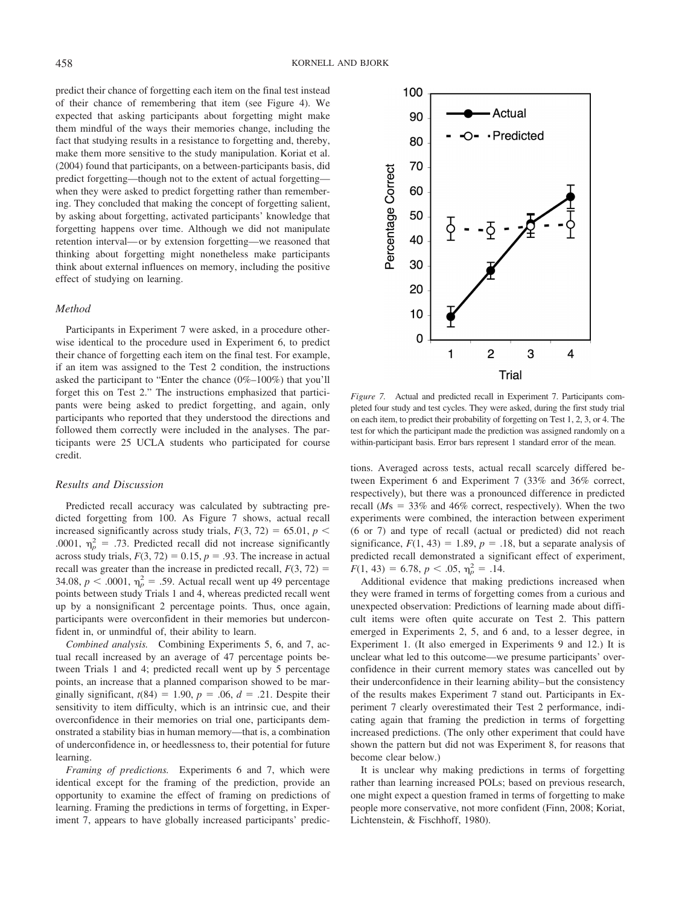predict their chance of forgetting each item on the final test instead of their chance of remembering that item (see Figure 4). We expected that asking participants about forgetting might make them mindful of the ways their memories change, including the fact that studying results in a resistance to forgetting and, thereby, make them more sensitive to the study manipulation. Koriat et al. (2004) found that participants, on a between-participants basis, did predict forgetting—though not to the extent of actual forgetting when they were asked to predict forgetting rather than remembering. They concluded that making the concept of forgetting salient, by asking about forgetting, activated participants' knowledge that forgetting happens over time. Although we did not manipulate retention interval— or by extension forgetting—we reasoned that thinking about forgetting might nonetheless make participants think about external influences on memory, including the positive effect of studying on learning.

# *Method*

Participants in Experiment 7 were asked, in a procedure otherwise identical to the procedure used in Experiment 6, to predict their chance of forgetting each item on the final test. For example, if an item was assigned to the Test 2 condition, the instructions asked the participant to "Enter the chance (0%–100%) that you'll forget this on Test 2." The instructions emphasized that participants were being asked to predict forgetting, and again, only participants who reported that they understood the directions and followed them correctly were included in the analyses. The participants were 25 UCLA students who participated for course credit.

# *Results and Discussion*

Predicted recall accuracy was calculated by subtracting predicted forgetting from 100. As Figure 7 shows, actual recall increased significantly across study trials,  $F(3, 72) = 65.01$ ,  $p <$ .0001,  $\eta_p^2$  = .73. Predicted recall did not increase significantly across study trials,  $F(3, 72) = 0.15$ ,  $p = .93$ . The increase in actual recall was greater than the increase in predicted recall,  $F(3, 72) =$ 34.08,  $p < .0001$ ,  $\eta_p^2 = .59$ . Actual recall went up 49 percentage points between study Trials 1 and 4, whereas predicted recall went up by a nonsignificant 2 percentage points. Thus, once again, participants were overconfident in their memories but underconfident in, or unmindful of, their ability to learn.

*Combined analysis.* Combining Experiments 5, 6, and 7, actual recall increased by an average of 47 percentage points between Trials 1 and 4; predicted recall went up by 5 percentage points, an increase that a planned comparison showed to be marginally significant,  $t(84) = 1.90$ ,  $p = .06$ ,  $d = .21$ . Despite their sensitivity to item difficulty, which is an intrinsic cue, and their overconfidence in their memories on trial one, participants demonstrated a stability bias in human memory—that is, a combination of underconfidence in, or heedlessness to, their potential for future learning.

*Framing of predictions.* Experiments 6 and 7, which were identical except for the framing of the prediction, provide an opportunity to examine the effect of framing on predictions of learning. Framing the predictions in terms of forgetting, in Experiment 7, appears to have globally increased participants' predic-



*Figure 7.* Actual and predicted recall in Experiment 7. Participants completed four study and test cycles. They were asked, during the first study trial on each item, to predict their probability of forgetting on Test 1, 2, 3, or 4. The test for which the participant made the prediction was assigned randomly on a within-participant basis. Error bars represent 1 standard error of the mean.

tions. Averaged across tests, actual recall scarcely differed between Experiment 6 and Experiment 7 (33% and 36% correct, respectively), but there was a pronounced difference in predicted recall  $(Ms = 33\%$  and 46% correct, respectively). When the two experiments were combined, the interaction between experiment (6 or 7) and type of recall (actual or predicted) did not reach significance,  $F(1, 43) = 1.89$ ,  $p = .18$ , but a separate analysis of predicted recall demonstrated a significant effect of experiment,  $F(1, 43) = 6.78, p < .05, \eta_p^2 = .14.$ 

Additional evidence that making predictions increased when they were framed in terms of forgetting comes from a curious and unexpected observation: Predictions of learning made about difficult items were often quite accurate on Test 2. This pattern emerged in Experiments 2, 5, and 6 and, to a lesser degree, in Experiment 1. (It also emerged in Experiments 9 and 12.) It is unclear what led to this outcome—we presume participants' overconfidence in their current memory states was cancelled out by their underconfidence in their learning ability– but the consistency of the results makes Experiment 7 stand out. Participants in Experiment 7 clearly overestimated their Test 2 performance, indicating again that framing the prediction in terms of forgetting increased predictions. (The only other experiment that could have shown the pattern but did not was Experiment 8, for reasons that become clear below.)

It is unclear why making predictions in terms of forgetting rather than learning increased POLs; based on previous research, one might expect a question framed in terms of forgetting to make people more conservative, not more confident (Finn, 2008; Koriat, Lichtenstein, & Fischhoff, 1980).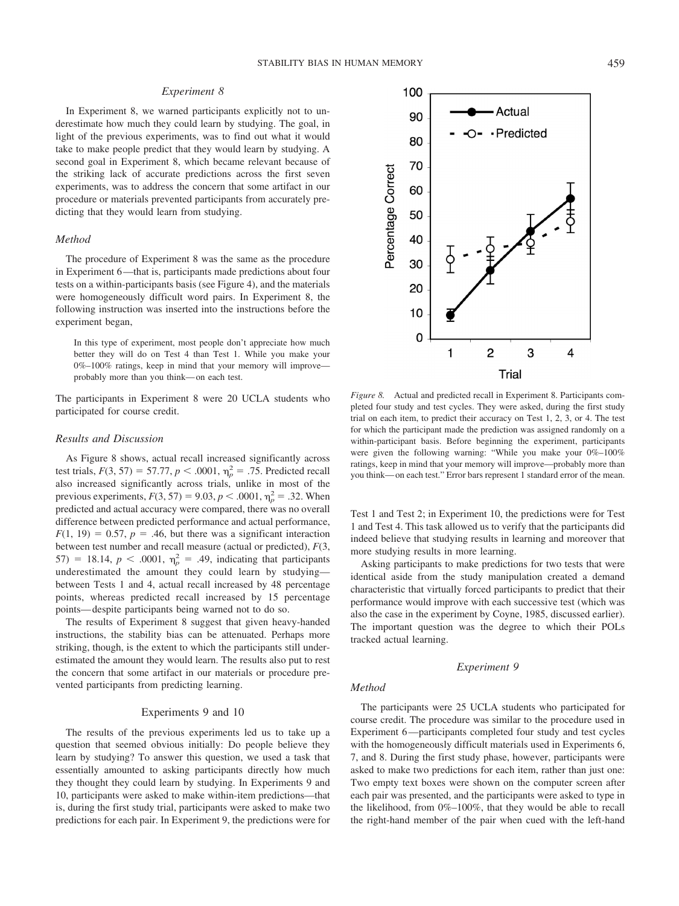#### *Experiment 8*

In Experiment 8, we warned participants explicitly not to underestimate how much they could learn by studying. The goal, in light of the previous experiments, was to find out what it would take to make people predict that they would learn by studying. A second goal in Experiment 8, which became relevant because of the striking lack of accurate predictions across the first seven experiments, was to address the concern that some artifact in our procedure or materials prevented participants from accurately predicting that they would learn from studying.

# *Method*

The procedure of Experiment 8 was the same as the procedure in Experiment 6—that is, participants made predictions about four tests on a within-participants basis (see Figure 4), and the materials were homogeneously difficult word pairs. In Experiment 8, the following instruction was inserted into the instructions before the experiment began,

In this type of experiment, most people don't appreciate how much better they will do on Test 4 than Test 1. While you make your 0%–100% ratings, keep in mind that your memory will improve probably more than you think— on each test.

The participants in Experiment 8 were 20 UCLA students who participated for course credit.

#### *Results and Discussion*

As Figure 8 shows, actual recall increased significantly across test trials,  $F(3, 57) = 57.77$ ,  $p < .0001$ ,  $\eta_p^2 = .75$ . Predicted recall also increased significantly across trials, unlike in most of the previous experiments,  $F(3, 57) = 9.03$ ,  $p < .0001$ ,  $\eta_p^2 = .32$ . When predicted and actual accuracy were compared, there was no overall difference between predicted performance and actual performance,  $F(1, 19) = 0.57$ ,  $p = .46$ , but there was a significant interaction between test number and recall measure (actual or predicted), *F*(3, 57) = 18.14,  $p < .0001$ ,  $\eta_p^2 = .49$ , indicating that participants underestimated the amount they could learn by studying between Tests 1 and 4, actual recall increased by 48 percentage points, whereas predicted recall increased by 15 percentage points— despite participants being warned not to do so.

The results of Experiment 8 suggest that given heavy-handed instructions, the stability bias can be attenuated. Perhaps more striking, though, is the extent to which the participants still underestimated the amount they would learn. The results also put to rest the concern that some artifact in our materials or procedure prevented participants from predicting learning.

#### Experiments 9 and 10

The results of the previous experiments led us to take up a question that seemed obvious initially: Do people believe they learn by studying? To answer this question, we used a task that essentially amounted to asking participants directly how much they thought they could learn by studying. In Experiments 9 and 10, participants were asked to make within-item predictions—that is, during the first study trial, participants were asked to make two predictions for each pair. In Experiment 9, the predictions were for



*Figure 8.* Actual and predicted recall in Experiment 8. Participants completed four study and test cycles. They were asked, during the first study trial on each item, to predict their accuracy on Test 1, 2, 3, or 4. The test for which the participant made the prediction was assigned randomly on a within-participant basis. Before beginning the experiment, participants were given the following warning: "While you make your 0%–100% ratings, keep in mind that your memory will improve—probably more than you think— on each test." Error bars represent 1 standard error of the mean.

Test 1 and Test 2; in Experiment 10, the predictions were for Test 1 and Test 4. This task allowed us to verify that the participants did indeed believe that studying results in learning and moreover that more studying results in more learning.

Asking participants to make predictions for two tests that were identical aside from the study manipulation created a demand characteristic that virtually forced participants to predict that their performance would improve with each successive test (which was also the case in the experiment by Coyne, 1985, discussed earlier). The important question was the degree to which their POLs tracked actual learning.

# *Experiment 9*

# *Method*

The participants were 25 UCLA students who participated for course credit. The procedure was similar to the procedure used in Experiment 6—participants completed four study and test cycles with the homogeneously difficult materials used in Experiments 6, 7, and 8. During the first study phase, however, participants were asked to make two predictions for each item, rather than just one: Two empty text boxes were shown on the computer screen after each pair was presented, and the participants were asked to type in the likelihood, from 0%–100%, that they would be able to recall the right-hand member of the pair when cued with the left-hand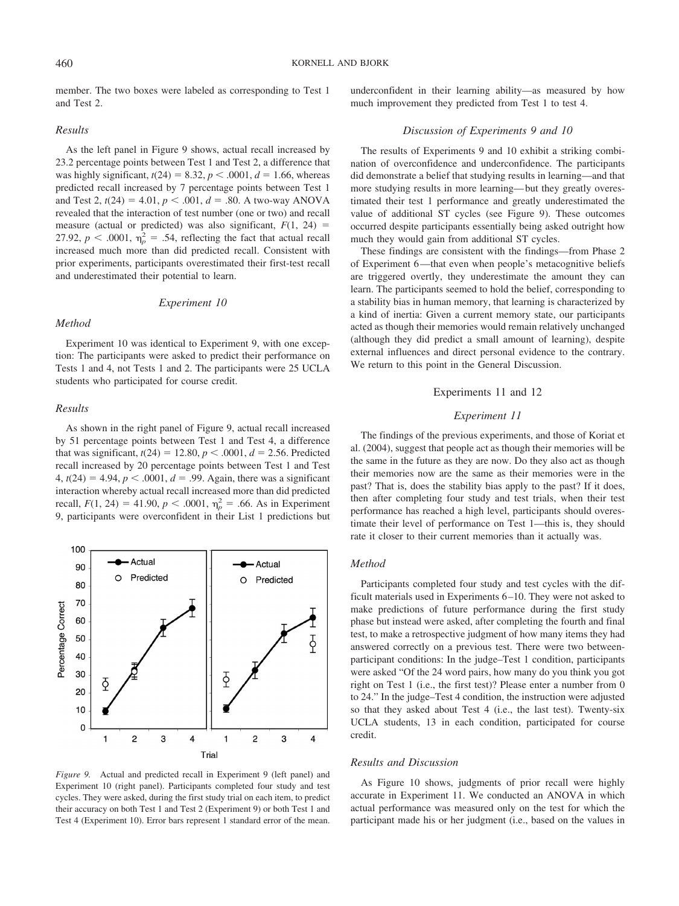member. The two boxes were labeled as corresponding to Test 1 and Test 2.

#### *Results*

As the left panel in Figure 9 shows, actual recall increased by 23.2 percentage points between Test 1 and Test 2, a difference that was highly significant,  $t(24) = 8.32, p < .0001, d = 1.66$ , whereas predicted recall increased by 7 percentage points between Test 1 and Test 2,  $t(24) = 4.01$ ,  $p < .001$ ,  $d = .80$ . A two-way ANOVA revealed that the interaction of test number (one or two) and recall measure (actual or predicted) was also significant,  $F(1, 24) =$ 27.92,  $p < .0001$ ,  $\eta_p^2 = .54$ , reflecting the fact that actual recall increased much more than did predicted recall. Consistent with prior experiments, participants overestimated their first-test recall and underestimated their potential to learn.

# *Experiment 10*

#### *Method*

Experiment 10 was identical to Experiment 9, with one exception: The participants were asked to predict their performance on Tests 1 and 4, not Tests 1 and 2. The participants were 25 UCLA students who participated for course credit.

## *Results*

As shown in the right panel of Figure 9, actual recall increased by 51 percentage points between Test 1 and Test 4, a difference that was significant,  $t(24) = 12.80, p < .0001, d = 2.56$ . Predicted recall increased by 20 percentage points between Test 1 and Test  $4, t(24) = 4.94, p < .0001, d = .99$ . Again, there was a significant interaction whereby actual recall increased more than did predicted recall,  $F(1, 24) = 41.90$ ,  $p < .0001$ ,  $\eta_p^2 = .66$ . As in Experiment 9, participants were overconfident in their List 1 predictions but



*Figure 9.* Actual and predicted recall in Experiment 9 (left panel) and Experiment 10 (right panel). Participants completed four study and test cycles. They were asked, during the first study trial on each item, to predict their accuracy on both Test 1 and Test 2 (Experiment 9) or both Test 1 and Test 4 (Experiment 10). Error bars represent 1 standard error of the mean.

underconfident in their learning ability—as measured by how much improvement they predicted from Test 1 to test 4.

# *Discussion of Experiments 9 and 10*

The results of Experiments 9 and 10 exhibit a striking combination of overconfidence and underconfidence. The participants did demonstrate a belief that studying results in learning—and that more studying results in more learning— but they greatly overestimated their test 1 performance and greatly underestimated the value of additional ST cycles (see Figure 9). These outcomes occurred despite participants essentially being asked outright how much they would gain from additional ST cycles.

These findings are consistent with the findings—from Phase 2 of Experiment 6—that even when people's metacognitive beliefs are triggered overtly, they underestimate the amount they can learn. The participants seemed to hold the belief, corresponding to a stability bias in human memory, that learning is characterized by a kind of inertia: Given a current memory state, our participants acted as though their memories would remain relatively unchanged (although they did predict a small amount of learning), despite external influences and direct personal evidence to the contrary. We return to this point in the General Discussion.

## Experiments 11 and 12

# *Experiment 11*

The findings of the previous experiments, and those of Koriat et al. (2004), suggest that people act as though their memories will be the same in the future as they are now. Do they also act as though their memories now are the same as their memories were in the past? That is, does the stability bias apply to the past? If it does, then after completing four study and test trials, when their test performance has reached a high level, participants should overestimate their level of performance on Test 1—this is, they should rate it closer to their current memories than it actually was.

# *Method*

Participants completed four study and test cycles with the difficult materials used in Experiments 6 –10. They were not asked to make predictions of future performance during the first study phase but instead were asked, after completing the fourth and final test, to make a retrospective judgment of how many items they had answered correctly on a previous test. There were two betweenparticipant conditions: In the judge–Test 1 condition, participants were asked "Of the 24 word pairs, how many do you think you got right on Test 1 (i.e., the first test)? Please enter a number from 0 to 24." In the judge–Test 4 condition, the instruction were adjusted so that they asked about Test 4 (i.e., the last test). Twenty-six UCLA students, 13 in each condition, participated for course credit.

# *Results and Discussion*

As Figure 10 shows, judgments of prior recall were highly accurate in Experiment 11. We conducted an ANOVA in which actual performance was measured only on the test for which the participant made his or her judgment (i.e., based on the values in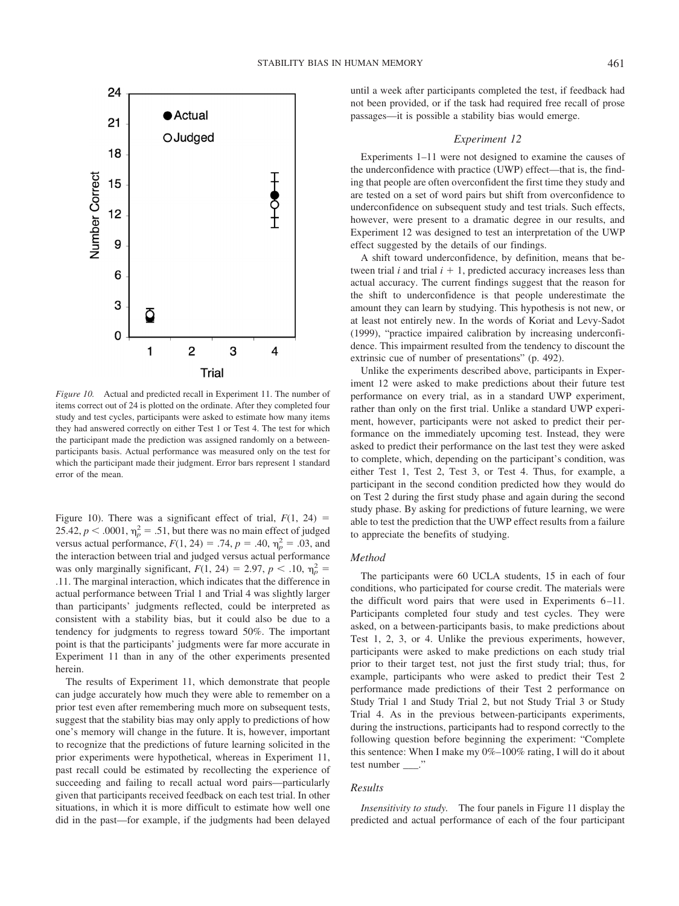

*Figure 10.* Actual and predicted recall in Experiment 11. The number of items correct out of 24 is plotted on the ordinate. After they completed four study and test cycles, participants were asked to estimate how many items they had answered correctly on either Test 1 or Test 4. The test for which the participant made the prediction was assigned randomly on a betweenparticipants basis. Actual performance was measured only on the test for which the participant made their judgment. Error bars represent 1 standard error of the mean.

Figure 10). There was a significant effect of trial,  $F(1, 24) =$ 25.42,  $p < .0001$ ,  $\eta_p^2 = .51$ , but there was no main effect of judged versus actual performance,  $F(1, 24) = .74$ ,  $p = .40$ ,  $\eta_p^2 = .03$ , and the interaction between trial and judged versus actual performance was only marginally significant,  $F(1, 24) = 2.97, p < .10, \eta_p^2 =$ .11. The marginal interaction, which indicates that the difference in actual performance between Trial 1 and Trial 4 was slightly larger than participants' judgments reflected, could be interpreted as consistent with a stability bias, but it could also be due to a tendency for judgments to regress toward 50%. The important point is that the participants' judgments were far more accurate in Experiment 11 than in any of the other experiments presented herein.

The results of Experiment 11, which demonstrate that people can judge accurately how much they were able to remember on a prior test even after remembering much more on subsequent tests, suggest that the stability bias may only apply to predictions of how one's memory will change in the future. It is, however, important to recognize that the predictions of future learning solicited in the prior experiments were hypothetical, whereas in Experiment 11, past recall could be estimated by recollecting the experience of succeeding and failing to recall actual word pairs—particularly given that participants received feedback on each test trial. In other situations, in which it is more difficult to estimate how well one did in the past—for example, if the judgments had been delayed until a week after participants completed the test, if feedback had not been provided, or if the task had required free recall of prose passages—it is possible a stability bias would emerge.

# *Experiment 12*

Experiments 1–11 were not designed to examine the causes of the underconfidence with practice (UWP) effect—that is, the finding that people are often overconfident the first time they study and are tested on a set of word pairs but shift from overconfidence to underconfidence on subsequent study and test trials. Such effects, however, were present to a dramatic degree in our results, and Experiment 12 was designed to test an interpretation of the UWP effect suggested by the details of our findings.

A shift toward underconfidence, by definition, means that between trial  $i$  and trial  $i + 1$ , predicted accuracy increases less than actual accuracy. The current findings suggest that the reason for the shift to underconfidence is that people underestimate the amount they can learn by studying. This hypothesis is not new, or at least not entirely new. In the words of Koriat and Levy-Sadot (1999), "practice impaired calibration by increasing underconfidence. This impairment resulted from the tendency to discount the extrinsic cue of number of presentations" (p. 492).

Unlike the experiments described above, participants in Experiment 12 were asked to make predictions about their future test performance on every trial, as in a standard UWP experiment, rather than only on the first trial. Unlike a standard UWP experiment, however, participants were not asked to predict their performance on the immediately upcoming test. Instead, they were asked to predict their performance on the last test they were asked to complete, which, depending on the participant's condition, was either Test 1, Test 2, Test 3, or Test 4. Thus, for example, a participant in the second condition predicted how they would do on Test 2 during the first study phase and again during the second study phase. By asking for predictions of future learning, we were able to test the prediction that the UWP effect results from a failure to appreciate the benefits of studying.

## *Method*

The participants were 60 UCLA students, 15 in each of four conditions, who participated for course credit. The materials were the difficult word pairs that were used in Experiments  $6-11$ . Participants completed four study and test cycles. They were asked, on a between-participants basis, to make predictions about Test 1, 2, 3, or 4. Unlike the previous experiments, however, participants were asked to make predictions on each study trial prior to their target test, not just the first study trial; thus, for example, participants who were asked to predict their Test 2 performance made predictions of their Test 2 performance on Study Trial 1 and Study Trial 2, but not Study Trial 3 or Study Trial 4. As in the previous between-participants experiments, during the instructions, participants had to respond correctly to the following question before beginning the experiment: "Complete this sentence: When I make my 0%–100% rating, I will do it about test number \_\_\_."

#### *Results*

*Insensitivity to study.* The four panels in Figure 11 display the predicted and actual performance of each of the four participant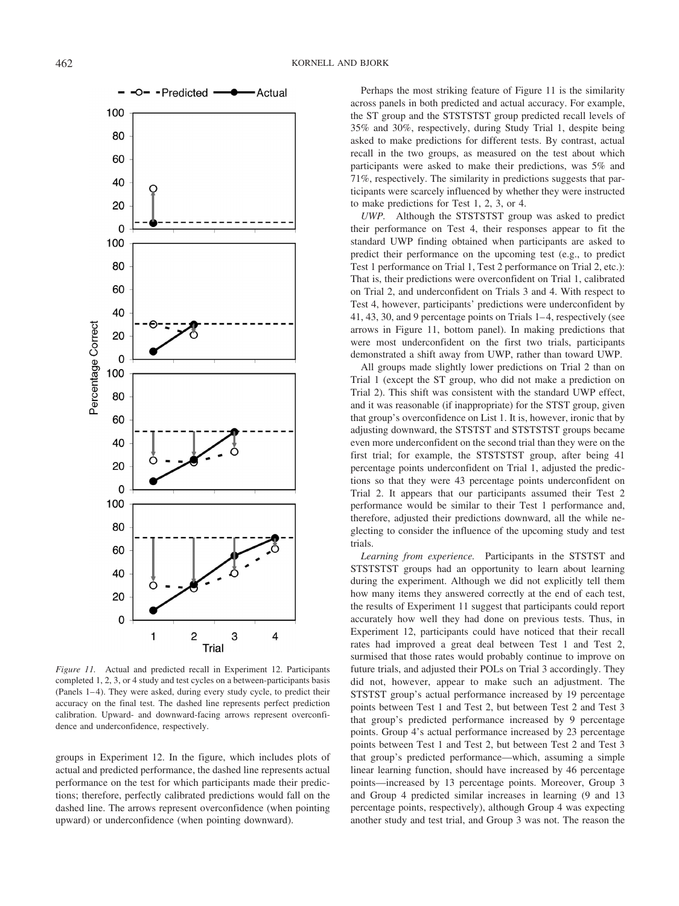

*Figure 11.* Actual and predicted recall in Experiment 12. Participants completed 1, 2, 3, or 4 study and test cycles on a between-participants basis (Panels 1–4). They were asked, during every study cycle, to predict their accuracy on the final test. The dashed line represents perfect prediction calibration. Upward- and downward-facing arrows represent overconfidence and underconfidence, respectively.

groups in Experiment 12. In the figure, which includes plots of actual and predicted performance, the dashed line represents actual performance on the test for which participants made their predictions; therefore, perfectly calibrated predictions would fall on the dashed line. The arrows represent overconfidence (when pointing upward) or underconfidence (when pointing downward).

Perhaps the most striking feature of Figure 11 is the similarity across panels in both predicted and actual accuracy. For example, the ST group and the STSTSTST group predicted recall levels of 35% and 30%, respectively, during Study Trial 1, despite being asked to make predictions for different tests. By contrast, actual recall in the two groups, as measured on the test about which participants were asked to make their predictions, was 5% and 71%, respectively. The similarity in predictions suggests that participants were scarcely influenced by whether they were instructed to make predictions for Test 1, 2, 3, or 4.

*UWP.* Although the STSTSTST group was asked to predict their performance on Test 4, their responses appear to fit the standard UWP finding obtained when participants are asked to predict their performance on the upcoming test (e.g., to predict Test 1 performance on Trial 1, Test 2 performance on Trial 2, etc.): That is, their predictions were overconfident on Trial 1, calibrated on Trial 2, and underconfident on Trials 3 and 4. With respect to Test 4, however, participants' predictions were underconfident by 41, 43, 30, and 9 percentage points on Trials 1– 4, respectively (see arrows in Figure 11, bottom panel). In making predictions that were most underconfident on the first two trials, participants demonstrated a shift away from UWP, rather than toward UWP.

All groups made slightly lower predictions on Trial 2 than on Trial 1 (except the ST group, who did not make a prediction on Trial 2). This shift was consistent with the standard UWP effect, and it was reasonable (if inappropriate) for the STST group, given that group's overconfidence on List 1. It is, however, ironic that by adjusting downward, the STSTST and STSTSTST groups became even more underconfident on the second trial than they were on the first trial; for example, the STSTSTST group, after being 41 percentage points underconfident on Trial 1, adjusted the predictions so that they were 43 percentage points underconfident on Trial 2. It appears that our participants assumed their Test 2 performance would be similar to their Test 1 performance and, therefore, adjusted their predictions downward, all the while neglecting to consider the influence of the upcoming study and test trials.

*Learning from experience.* Participants in the STSTST and STSTSTST groups had an opportunity to learn about learning during the experiment. Although we did not explicitly tell them how many items they answered correctly at the end of each test, the results of Experiment 11 suggest that participants could report accurately how well they had done on previous tests. Thus, in Experiment 12, participants could have noticed that their recall rates had improved a great deal between Test 1 and Test 2, surmised that those rates would probably continue to improve on future trials, and adjusted their POLs on Trial 3 accordingly. They did not, however, appear to make such an adjustment. The STSTST group's actual performance increased by 19 percentage points between Test 1 and Test 2, but between Test 2 and Test 3 that group's predicted performance increased by 9 percentage points. Group 4's actual performance increased by 23 percentage points between Test 1 and Test 2, but between Test 2 and Test 3 that group's predicted performance—which, assuming a simple linear learning function, should have increased by 46 percentage points—increased by 13 percentage points. Moreover, Group 3 and Group 4 predicted similar increases in learning (9 and 13 percentage points, respectively), although Group 4 was expecting another study and test trial, and Group 3 was not. The reason the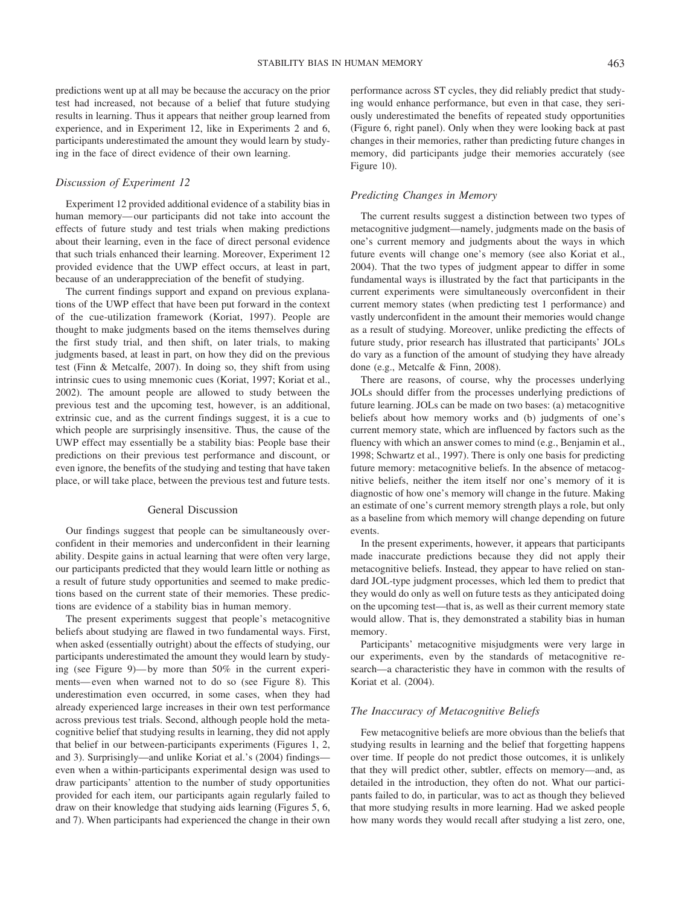predictions went up at all may be because the accuracy on the prior test had increased, not because of a belief that future studying results in learning. Thus it appears that neither group learned from experience, and in Experiment 12, like in Experiments 2 and 6, participants underestimated the amount they would learn by studying in the face of direct evidence of their own learning.

# *Discussion of Experiment 12*

Experiment 12 provided additional evidence of a stability bias in human memory— our participants did not take into account the effects of future study and test trials when making predictions about their learning, even in the face of direct personal evidence that such trials enhanced their learning. Moreover, Experiment 12 provided evidence that the UWP effect occurs, at least in part, because of an underappreciation of the benefit of studying.

The current findings support and expand on previous explanations of the UWP effect that have been put forward in the context of the cue-utilization framework (Koriat, 1997). People are thought to make judgments based on the items themselves during the first study trial, and then shift, on later trials, to making judgments based, at least in part, on how they did on the previous test (Finn & Metcalfe, 2007). In doing so, they shift from using intrinsic cues to using mnemonic cues (Koriat, 1997; Koriat et al., 2002). The amount people are allowed to study between the previous test and the upcoming test, however, is an additional, extrinsic cue, and as the current findings suggest, it is a cue to which people are surprisingly insensitive. Thus, the cause of the UWP effect may essentially be a stability bias: People base their predictions on their previous test performance and discount, or even ignore, the benefits of the studying and testing that have taken place, or will take place, between the previous test and future tests.

# General Discussion

Our findings suggest that people can be simultaneously overconfident in their memories and underconfident in their learning ability. Despite gains in actual learning that were often very large, our participants predicted that they would learn little or nothing as a result of future study opportunities and seemed to make predictions based on the current state of their memories. These predictions are evidence of a stability bias in human memory.

The present experiments suggest that people's metacognitive beliefs about studying are flawed in two fundamental ways. First, when asked (essentially outright) about the effects of studying, our participants underestimated the amount they would learn by studying (see Figure 9)— by more than 50% in the current experiments— even when warned not to do so (see Figure 8). This underestimation even occurred, in some cases, when they had already experienced large increases in their own test performance across previous test trials. Second, although people hold the metacognitive belief that studying results in learning, they did not apply that belief in our between-participants experiments (Figures 1, 2, and 3). Surprisingly—and unlike Koriat et al.'s (2004) findings even when a within-participants experimental design was used to draw participants' attention to the number of study opportunities provided for each item, our participants again regularly failed to draw on their knowledge that studying aids learning (Figures 5, 6, and 7). When participants had experienced the change in their own performance across ST cycles, they did reliably predict that studying would enhance performance, but even in that case, they seriously underestimated the benefits of repeated study opportunities (Figure 6, right panel). Only when they were looking back at past changes in their memories, rather than predicting future changes in memory, did participants judge their memories accurately (see Figure 10).

#### *Predicting Changes in Memory*

The current results suggest a distinction between two types of metacognitive judgment—namely, judgments made on the basis of one's current memory and judgments about the ways in which future events will change one's memory (see also Koriat et al., 2004). That the two types of judgment appear to differ in some fundamental ways is illustrated by the fact that participants in the current experiments were simultaneously overconfident in their current memory states (when predicting test 1 performance) and vastly underconfident in the amount their memories would change as a result of studying. Moreover, unlike predicting the effects of future study, prior research has illustrated that participants' JOLs do vary as a function of the amount of studying they have already done (e.g., Metcalfe & Finn, 2008).

There are reasons, of course, why the processes underlying JOLs should differ from the processes underlying predictions of future learning. JOLs can be made on two bases: (a) metacognitive beliefs about how memory works and (b) judgments of one's current memory state, which are influenced by factors such as the fluency with which an answer comes to mind (e.g., Benjamin et al., 1998; Schwartz et al., 1997). There is only one basis for predicting future memory: metacognitive beliefs. In the absence of metacognitive beliefs, neither the item itself nor one's memory of it is diagnostic of how one's memory will change in the future. Making an estimate of one's current memory strength plays a role, but only as a baseline from which memory will change depending on future events.

In the present experiments, however, it appears that participants made inaccurate predictions because they did not apply their metacognitive beliefs. Instead, they appear to have relied on standard JOL-type judgment processes, which led them to predict that they would do only as well on future tests as they anticipated doing on the upcoming test—that is, as well as their current memory state would allow. That is, they demonstrated a stability bias in human memory.

Participants' metacognitive misjudgments were very large in our experiments, even by the standards of metacognitive research—a characteristic they have in common with the results of Koriat et al. (2004).

# *The Inaccuracy of Metacognitive Beliefs*

Few metacognitive beliefs are more obvious than the beliefs that studying results in learning and the belief that forgetting happens over time. If people do not predict those outcomes, it is unlikely that they will predict other, subtler, effects on memory—and, as detailed in the introduction, they often do not. What our participants failed to do, in particular, was to act as though they believed that more studying results in more learning. Had we asked people how many words they would recall after studying a list zero, one,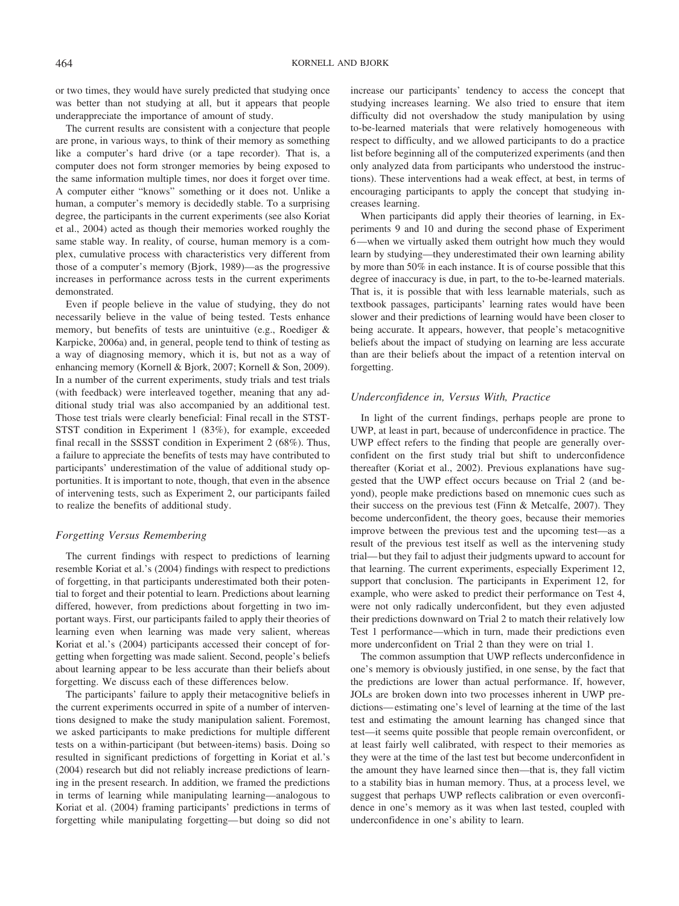or two times, they would have surely predicted that studying once was better than not studying at all, but it appears that people underappreciate the importance of amount of study.

The current results are consistent with a conjecture that people are prone, in various ways, to think of their memory as something like a computer's hard drive (or a tape recorder). That is, a computer does not form stronger memories by being exposed to the same information multiple times, nor does it forget over time. A computer either "knows" something or it does not. Unlike a human, a computer's memory is decidedly stable. To a surprising degree, the participants in the current experiments (see also Koriat et al., 2004) acted as though their memories worked roughly the same stable way. In reality, of course, human memory is a complex, cumulative process with characteristics very different from those of a computer's memory (Bjork, 1989)—as the progressive increases in performance across tests in the current experiments demonstrated.

Even if people believe in the value of studying, they do not necessarily believe in the value of being tested. Tests enhance memory, but benefits of tests are unintuitive (e.g., Roediger & Karpicke, 2006a) and, in general, people tend to think of testing as a way of diagnosing memory, which it is, but not as a way of enhancing memory (Kornell & Bjork, 2007; Kornell & Son, 2009). In a number of the current experiments, study trials and test trials (with feedback) were interleaved together, meaning that any additional study trial was also accompanied by an additional test. Those test trials were clearly beneficial: Final recall in the STST-STST condition in Experiment 1 (83%), for example, exceeded final recall in the SSSST condition in Experiment 2 (68%). Thus, a failure to appreciate the benefits of tests may have contributed to participants' underestimation of the value of additional study opportunities. It is important to note, though, that even in the absence of intervening tests, such as Experiment 2, our participants failed to realize the benefits of additional study.

# *Forgetting Versus Remembering*

The current findings with respect to predictions of learning resemble Koriat et al.'s (2004) findings with respect to predictions of forgetting, in that participants underestimated both their potential to forget and their potential to learn. Predictions about learning differed, however, from predictions about forgetting in two important ways. First, our participants failed to apply their theories of learning even when learning was made very salient, whereas Koriat et al.'s (2004) participants accessed their concept of forgetting when forgetting was made salient. Second, people's beliefs about learning appear to be less accurate than their beliefs about forgetting. We discuss each of these differences below.

The participants' failure to apply their metacognitive beliefs in the current experiments occurred in spite of a number of interventions designed to make the study manipulation salient. Foremost, we asked participants to make predictions for multiple different tests on a within-participant (but between-items) basis. Doing so resulted in significant predictions of forgetting in Koriat et al.'s (2004) research but did not reliably increase predictions of learning in the present research. In addition, we framed the predictions in terms of learning while manipulating learning—analogous to Koriat et al. (2004) framing participants' predictions in terms of forgetting while manipulating forgetting— but doing so did not

increase our participants' tendency to access the concept that studying increases learning. We also tried to ensure that item difficulty did not overshadow the study manipulation by using to-be-learned materials that were relatively homogeneous with respect to difficulty, and we allowed participants to do a practice list before beginning all of the computerized experiments (and then only analyzed data from participants who understood the instructions). These interventions had a weak effect, at best, in terms of encouraging participants to apply the concept that studying increases learning.

When participants did apply their theories of learning, in Experiments 9 and 10 and during the second phase of Experiment 6—when we virtually asked them outright how much they would learn by studying—they underestimated their own learning ability by more than 50% in each instance. It is of course possible that this degree of inaccuracy is due, in part, to the to-be-learned materials. That is, it is possible that with less learnable materials, such as textbook passages, participants' learning rates would have been slower and their predictions of learning would have been closer to being accurate. It appears, however, that people's metacognitive beliefs about the impact of studying on learning are less accurate than are their beliefs about the impact of a retention interval on forgetting.

# *Underconfidence in, Versus With, Practice*

In light of the current findings, perhaps people are prone to UWP, at least in part, because of underconfidence in practice. The UWP effect refers to the finding that people are generally overconfident on the first study trial but shift to underconfidence thereafter (Koriat et al., 2002). Previous explanations have suggested that the UWP effect occurs because on Trial 2 (and beyond), people make predictions based on mnemonic cues such as their success on the previous test (Finn & Metcalfe, 2007). They become underconfident, the theory goes, because their memories improve between the previous test and the upcoming test—as a result of the previous test itself as well as the intervening study trial— but they fail to adjust their judgments upward to account for that learning. The current experiments, especially Experiment 12, support that conclusion. The participants in Experiment 12, for example, who were asked to predict their performance on Test 4, were not only radically underconfident, but they even adjusted their predictions downward on Trial 2 to match their relatively low Test 1 performance—which in turn, made their predictions even more underconfident on Trial 2 than they were on trial 1.

The common assumption that UWP reflects underconfidence in one's memory is obviously justified, in one sense, by the fact that the predictions are lower than actual performance. If, however, JOLs are broken down into two processes inherent in UWP predictions— estimating one's level of learning at the time of the last test and estimating the amount learning has changed since that test—it seems quite possible that people remain overconfident, or at least fairly well calibrated, with respect to their memories as they were at the time of the last test but become underconfident in the amount they have learned since then—that is, they fall victim to a stability bias in human memory. Thus, at a process level, we suggest that perhaps UWP reflects calibration or even overconfidence in one's memory as it was when last tested, coupled with underconfidence in one's ability to learn.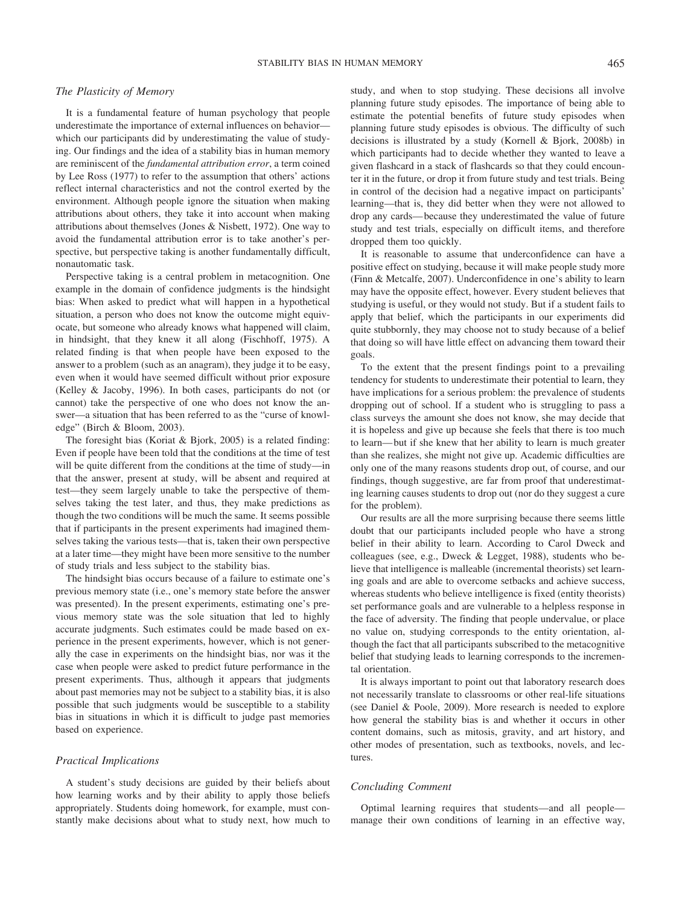# *The Plasticity of Memory*

It is a fundamental feature of human psychology that people underestimate the importance of external influences on behavior which our participants did by underestimating the value of studying. Our findings and the idea of a stability bias in human memory are reminiscent of the *fundamental attribution error*, a term coined by Lee Ross (1977) to refer to the assumption that others' actions reflect internal characteristics and not the control exerted by the environment. Although people ignore the situation when making attributions about others, they take it into account when making attributions about themselves (Jones & Nisbett, 1972). One way to avoid the fundamental attribution error is to take another's perspective, but perspective taking is another fundamentally difficult, nonautomatic task.

Perspective taking is a central problem in metacognition. One example in the domain of confidence judgments is the hindsight bias: When asked to predict what will happen in a hypothetical situation, a person who does not know the outcome might equivocate, but someone who already knows what happened will claim, in hindsight, that they knew it all along (Fischhoff, 1975). A related finding is that when people have been exposed to the answer to a problem (such as an anagram), they judge it to be easy, even when it would have seemed difficult without prior exposure (Kelley & Jacoby, 1996). In both cases, participants do not (or cannot) take the perspective of one who does not know the answer—a situation that has been referred to as the "curse of knowledge" (Birch & Bloom, 2003).

The foresight bias (Koriat & Bjork, 2005) is a related finding: Even if people have been told that the conditions at the time of test will be quite different from the conditions at the time of study—in that the answer, present at study, will be absent and required at test—they seem largely unable to take the perspective of themselves taking the test later, and thus, they make predictions as though the two conditions will be much the same. It seems possible that if participants in the present experiments had imagined themselves taking the various tests—that is, taken their own perspective at a later time—they might have been more sensitive to the number of study trials and less subject to the stability bias.

The hindsight bias occurs because of a failure to estimate one's previous memory state (i.e., one's memory state before the answer was presented). In the present experiments, estimating one's previous memory state was the sole situation that led to highly accurate judgments. Such estimates could be made based on experience in the present experiments, however, which is not generally the case in experiments on the hindsight bias, nor was it the case when people were asked to predict future performance in the present experiments. Thus, although it appears that judgments about past memories may not be subject to a stability bias, it is also possible that such judgments would be susceptible to a stability bias in situations in which it is difficult to judge past memories based on experience.

# *Practical Implications*

A student's study decisions are guided by their beliefs about how learning works and by their ability to apply those beliefs appropriately. Students doing homework, for example, must constantly make decisions about what to study next, how much to study, and when to stop studying. These decisions all involve planning future study episodes. The importance of being able to estimate the potential benefits of future study episodes when planning future study episodes is obvious. The difficulty of such decisions is illustrated by a study (Kornell & Bjork, 2008b) in which participants had to decide whether they wanted to leave a given flashcard in a stack of flashcards so that they could encounter it in the future, or drop it from future study and test trials. Being in control of the decision had a negative impact on participants' learning—that is, they did better when they were not allowed to drop any cards— because they underestimated the value of future study and test trials, especially on difficult items, and therefore dropped them too quickly.

It is reasonable to assume that underconfidence can have a positive effect on studying, because it will make people study more (Finn & Metcalfe, 2007). Underconfidence in one's ability to learn may have the opposite effect, however. Every student believes that studying is useful, or they would not study. But if a student fails to apply that belief, which the participants in our experiments did quite stubbornly, they may choose not to study because of a belief that doing so will have little effect on advancing them toward their goals.

To the extent that the present findings point to a prevailing tendency for students to underestimate their potential to learn, they have implications for a serious problem: the prevalence of students dropping out of school. If a student who is struggling to pass a class surveys the amount she does not know, she may decide that it is hopeless and give up because she feels that there is too much to learn— but if she knew that her ability to learn is much greater than she realizes, she might not give up. Academic difficulties are only one of the many reasons students drop out, of course, and our findings, though suggestive, are far from proof that underestimating learning causes students to drop out (nor do they suggest a cure for the problem).

Our results are all the more surprising because there seems little doubt that our participants included people who have a strong belief in their ability to learn. According to Carol Dweck and colleagues (see, e.g., Dweck & Legget, 1988), students who believe that intelligence is malleable (incremental theorists) set learning goals and are able to overcome setbacks and achieve success, whereas students who believe intelligence is fixed (entity theorists) set performance goals and are vulnerable to a helpless response in the face of adversity. The finding that people undervalue, or place no value on, studying corresponds to the entity orientation, although the fact that all participants subscribed to the metacognitive belief that studying leads to learning corresponds to the incremental orientation.

It is always important to point out that laboratory research does not necessarily translate to classrooms or other real-life situations (see Daniel & Poole, 2009). More research is needed to explore how general the stability bias is and whether it occurs in other content domains, such as mitosis, gravity, and art history, and other modes of presentation, such as textbooks, novels, and lectures.

# *Concluding Comment*

Optimal learning requires that students—and all people manage their own conditions of learning in an effective way,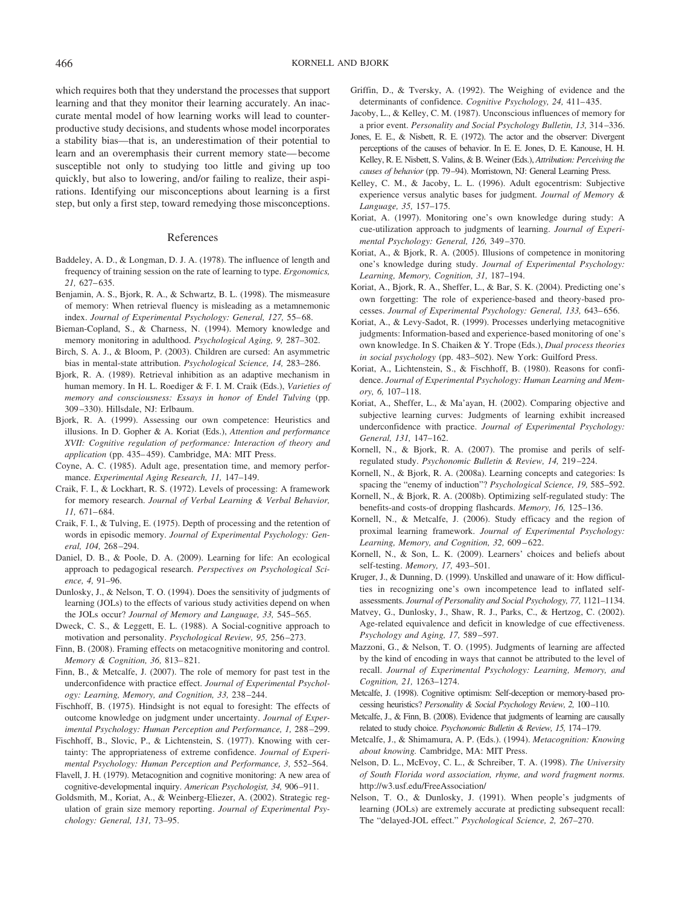which requires both that they understand the processes that support learning and that they monitor their learning accurately. An inaccurate mental model of how learning works will lead to counterproductive study decisions, and students whose model incorporates a stability bias—that is, an underestimation of their potential to learn and an overemphasis their current memory state— become susceptible not only to studying too little and giving up too quickly, but also to lowering, and/or failing to realize, their aspirations. Identifying our misconceptions about learning is a first step, but only a first step, toward remedying those misconceptions.

#### References

- Baddeley, A. D., & Longman, D. J. A. (1978). The influence of length and frequency of training session on the rate of learning to type. *Ergonomics, 21,* 627– 635.
- Benjamin, A. S., Bjork, R. A., & Schwartz, B. L. (1998). The mismeasure of memory: When retrieval fluency is misleading as a metamnemonic index. *Journal of Experimental Psychology: General, 127, 55*–68.
- Bieman-Copland, S., & Charness, N. (1994). Memory knowledge and memory monitoring in adulthood. *Psychological Aging, 9,* 287–302.
- Birch, S. A. J., & Bloom, P. (2003). Children are cursed: An asymmetric bias in mental-state attribution. *Psychological Science, 14,* 283–286.
- Bjork, R. A. (1989). Retrieval inhibition as an adaptive mechanism in human memory. In H. L. Roediger & F. I. M. Craik (Eds.), *Varieties of memory and consciousness: Essays in honor of Endel Tulving* (pp. 309 –330). Hillsdale, NJ: Erlbaum.
- Bjork, R. A. (1999). Assessing our own competence: Heuristics and illusions. In D. Gopher & A. Koriat (Eds.), *Attention and performance XVII: Cognitive regulation of performance: Interaction of theory and application* (pp. 435–459). Cambridge, MA: MIT Press.
- Coyne, A. C. (1985). Adult age, presentation time, and memory performance. *Experimental Aging Research, 11,* 147–149.
- Craik, F. I., & Lockhart, R. S. (1972). Levels of processing: A framework for memory research. *Journal of Verbal Learning & Verbal Behavior, 11,* 671– 684.
- Craik, F. I., & Tulving, E. (1975). Depth of processing and the retention of words in episodic memory. *Journal of Experimental Psychology: General, 104,* 268 –294.
- Daniel, D. B., & Poole, D. A. (2009). Learning for life: An ecological approach to pedagogical research. *Perspectives on Psychological Science, 4,* 91–96.
- Dunlosky, J., & Nelson, T. O. (1994). Does the sensitivity of judgments of learning (JOLs) to the effects of various study activities depend on when the JOLs occur? *Journal of Memory and Language, 33,* 545–565.
- Dweck, C. S., & Leggett, E. L. (1988). A Social-cognitive approach to motivation and personality. *Psychological Review, 95,* 256 –273.
- Finn, B. (2008). Framing effects on metacognitive monitoring and control. *Memory & Cognition, 36,* 813– 821.
- Finn, B., & Metcalfe, J. (2007). The role of memory for past test in the underconfidence with practice effect. *Journal of Experimental Psychology: Learning, Memory, and Cognition, 33,* 238 –244.
- Fischhoff, B. (1975). Hindsight is not equal to foresight: The effects of outcome knowledge on judgment under uncertainty. *Journal of Experimental Psychology: Human Perception and Performance, 1,* 288 –299.
- Fischhoff, B., Slovic, P., & Lichtenstein, S. (1977). Knowing with certainty: The appropriateness of extreme confidence. *Journal of Experimental Psychology: Human Perception and Performance, 3,* 552–564.
- Flavell, J. H. (1979). Metacognition and cognitive monitoring: A new area of cognitive-developmental inquiry. *American Psychologist, 34,* 906 –911.
- Goldsmith, M., Koriat, A., & Weinberg-Eliezer, A. (2002). Strategic regulation of grain size memory reporting. *Journal of Experimental Psychology: General, 131,* 73–95.
- Griffin, D., & Tversky, A. (1992). The Weighing of evidence and the determinants of confidence. *Cognitive Psychology, 24,* 411– 435.
- Jacoby, L., & Kelley, C. M. (1987). Unconscious influences of memory for a prior event. *Personality and Social Psychology Bulletin, 13,* 314 –336.
- Jones, E. E., & Nisbett, R. E. (1972). The actor and the observer: Divergent perceptions of the causes of behavior. In E. E. Jones, D. E. Kanouse, H. H. Kelley, R. E. Nisbett, S. Valins, & B. Weiner (Eds.), *Attribution: Perceiving the causes of behavior* (pp. 79–94). Morristown, NJ: General Learning Press.
- Kelley, C. M., & Jacoby, L. L. (1996). Adult egocentrism: Subjective experience versus analytic bases for judgment. *Journal of Memory & Language, 35,* 157–175.
- Koriat, A. (1997). Monitoring one's own knowledge during study: A cue-utilization approach to judgments of learning. *Journal of Experimental Psychology: General, 126,* 349 –370.
- Koriat, A., & Bjork, R. A. (2005). Illusions of competence in monitoring one's knowledge during study. *Journal of Experimental Psychology: Learning, Memory, Cognition, 31,* 187–194.
- Koriat, A., Bjork, R. A., Sheffer, L., & Bar, S. K. (2004). Predicting one's own forgetting: The role of experience-based and theory-based processes. *Journal of Experimental Psychology: General, 133, 643-656.*
- Koriat, A., & Levy-Sadot, R. (1999). Processes underlying metacognitive judgments: Information-based and experience-based monitoring of one's own knowledge. In S. Chaiken & Y. Trope (Eds.), *Dual process theories in social psychology* (pp. 483–502). New York: Guilford Press.
- Koriat, A., Lichtenstein, S., & Fischhoff, B. (1980). Reasons for confidence. *Journal of Experimental Psychology: Human Learning and Memory, 6,* 107–118.
- Koriat, A., Sheffer, L., & Ma'ayan, H. (2002). Comparing objective and subjective learning curves: Judgments of learning exhibit increased underconfidence with practice. *Journal of Experimental Psychology: General, 131,* 147–162.
- Kornell, N., & Bjork, R. A. (2007). The promise and perils of selfregulated study. *Psychonomic Bulletin & Review, 14,* 219 –224.
- Kornell, N., & Bjork, R. A. (2008a). Learning concepts and categories: Is spacing the "enemy of induction"? *Psychological Science, 19,* 585–592.
- Kornell, N., & Bjork, R. A. (2008b). Optimizing self-regulated study: The benefits-and costs-of dropping flashcards. *Memory, 16,* 125–136.
- Kornell, N., & Metcalfe, J. (2006). Study efficacy and the region of proximal learning framework. *Journal of Experimental Psychology: Learning, Memory, and Cognition, 32,* 609 – 622.
- Kornell, N., & Son, L. K. (2009). Learners' choices and beliefs about self-testing. *Memory, 17,* 493–501.
- Kruger, J., & Dunning, D. (1999). Unskilled and unaware of it: How difficulties in recognizing one's own incompetence lead to inflated selfassessments. *Journal of Personality and Social Psychology, 77,* 1121–1134.
- Matvey, G., Dunlosky, J., Shaw, R. J., Parks, C., & Hertzog, C. (2002). Age-related equivalence and deficit in knowledge of cue effectiveness. *Psychology and Aging, 17,* 589 –597.
- Mazzoni, G., & Nelson, T. O. (1995). Judgments of learning are affected by the kind of encoding in ways that cannot be attributed to the level of recall. *Journal of Experimental Psychology: Learning, Memory, and Cognition, 21,* 1263–1274.
- Metcalfe, J. (1998). Cognitive optimism: Self-deception or memory-based processing heuristics? *Personality & Social Psychology Review, 2,* 100–110.
- Metcalfe, J., & Finn, B. (2008). Evidence that judgments of learning are causally related to study choice. *Psychonomic Bulletin & Review, 15,* 174–179.
- Metcalfe, J., & Shimamura, A. P. (Eds.). (1994). *Metacognition: Knowing about knowing.* Cambridge, MA: MIT Press.
- Nelson, D. L., McEvoy, C. L., & Schreiber, T. A. (1998). *The University of South Florida word association, rhyme, and word fragment norms.* http://w3.usf.edu/FreeAssociation/
- Nelson, T. O., & Dunlosky, J. (1991). When people's judgments of learning (JOLs) are extremely accurate at predicting subsequent recall: The "delayed-JOL effect." *Psychological Science, 2,* 267–270.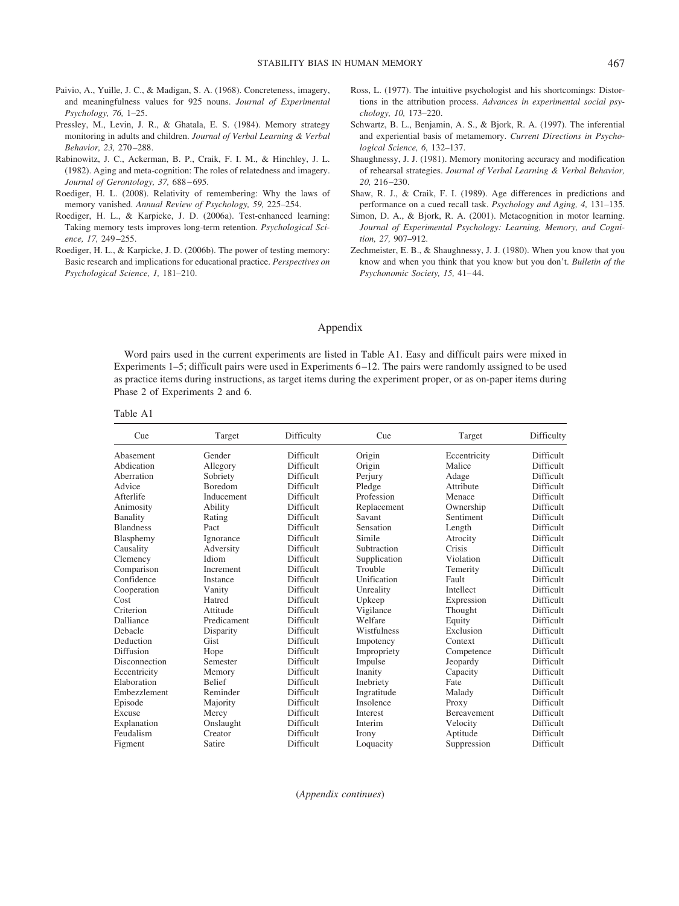- Paivio, A., Yuille, J. C., & Madigan, S. A. (1968). Concreteness, imagery, and meaningfulness values for 925 nouns. *Journal of Experimental Psychology, 76,* 1–25.
- Pressley, M., Levin, J. R., & Ghatala, E. S. (1984). Memory strategy monitoring in adults and children. *Journal of Verbal Learning & Verbal Behavior, 23,* 270 –288.
- Rabinowitz, J. C., Ackerman, B. P., Craik, F. I. M., & Hinchley, J. L. (1982). Aging and meta-cognition: The roles of relatedness and imagery. *Journal of Gerontology, 37,* 688 – 695.
- Roediger, H. L. (2008). Relativity of remembering: Why the laws of memory vanished. *Annual Review of Psychology, 59,* 225–254.
- Roediger, H. L., & Karpicke, J. D. (2006a). Test-enhanced learning: Taking memory tests improves long-term retention. *Psychological Science, 17,* 249 –255.
- Roediger, H. L., & Karpicke, J. D. (2006b). The power of testing memory: Basic research and implications for educational practice. *Perspectives on Psychological Science, 1,* 181–210.
- Ross, L. (1977). The intuitive psychologist and his shortcomings: Distortions in the attribution process. *Advances in experimental social psychology, 10,* 173–220.
- Schwartz, B. L., Benjamin, A. S., & Bjork, R. A. (1997). The inferential and experiential basis of metamemory. *Current Directions in Psychological Science, 6,* 132–137.
- Shaughnessy, J. J. (1981). Memory monitoring accuracy and modification of rehearsal strategies. *Journal of Verbal Learning & Verbal Behavior, 20,* 216 –230.
- Shaw, R. J., & Craik, F. I. (1989). Age differences in predictions and performance on a cued recall task. *Psychology and Aging, 4,* 131–135.
- Simon, D. A., & Bjork, R. A. (2001). Metacognition in motor learning. *Journal of Experimental Psychology: Learning, Memory, and Cognition, 27,* 907–912.
- Zechmeister, E. B., & Shaughnessy, J. J. (1980). When you know that you know and when you think that you know but you don't. *Bulletin of the Psychonomic Society, 15,* 41– 44.

# Appendix

Word pairs used in the current experiments are listed in Table A1. Easy and difficult pairs were mixed in Experiments 1–5; difficult pairs were used in Experiments 6 –12. The pairs were randomly assigned to be used as practice items during instructions, as target items during the experiment proper, or as on-paper items during Phase 2 of Experiments 2 and 6.

# Table A1

| Cue              | Target         | Difficulty       | Cue          | Target             | Difficulty       |
|------------------|----------------|------------------|--------------|--------------------|------------------|
| Abasement        | Gender         | Difficult        | Origin       | Eccentricity       | <b>Difficult</b> |
| Abdication       | Allegory       | <b>Difficult</b> | Origin       | Malice             | <b>Difficult</b> |
| Aberration       | Sobriety       | Difficult        | Perjury      | Adage              | Difficult        |
| Advice           | <b>Boredom</b> | Difficult        | Pledge       | Attribute          | Difficult        |
| Afterlife        | Inducement     | Difficult        | Profession   | Menace             | <b>Difficult</b> |
| Animosity        | Ability        | <b>Difficult</b> | Replacement  | Ownership          | <b>Difficult</b> |
| Banality         | Rating         | <b>Difficult</b> | Savant       | <b>Sentiment</b>   | <b>Difficult</b> |
| <b>Blandness</b> | Pact           | Difficult        | Sensation    | Length             | Difficult        |
| Blasphemy        | Ignorance      | Difficult        | Simile       | Atrocity           | Difficult        |
| Causality        | Adversity      | Difficult        | Subtraction  | Crisis             | Difficult        |
| Clemency         | Idiom          | Difficult        | Supplication | Violation          | Difficult        |
| Comparison       | Increment      | <b>Difficult</b> | Trouble      | Temerity           | <b>Difficult</b> |
| Confidence       | Instance       | Difficult        | Unification  | Fault              | Difficult        |
| Cooperation      | Vanity         | Difficult        | Unreality    | <b>Intellect</b>   | Difficult        |
| Cost             | Hatred         | Difficult        | Upkeep       | Expression         | Difficult        |
| Criterion        | Attitude       | Difficult        | Vigilance    | Thought            | <b>Difficult</b> |
| Dalliance        | Predicament    | <b>Difficult</b> | Welfare      | Equity             | <b>Difficult</b> |
| Debacle          | Disparity      | Difficult        | Wistfulness  | Exclusion          | Difficult        |
| Deduction        | Gist           | Difficult        | Impotency    | Context            | Difficult        |
| Diffusion        | Hope           | Difficult        | Impropriety  | Competence         | Difficult        |
| Disconnection    | Semester       | Difficult        | Impulse      | Jeopardy           | Difficult        |
| Eccentricity     | Memory         | Difficult        | Inanity      | Capacity           | <b>Difficult</b> |
| Elaboration      | <b>Belief</b>  | <b>Difficult</b> | Inebriety    | Fate               | Difficult        |
| Embezzlement     | Reminder       | Difficult        | Ingratitude  | Malady             | Difficult        |
| Episode          | Majority       | Difficult        | Insolence    | Proxy              | Difficult        |
| Excuse           | Mercy          | Difficult        | Interest     | <b>Bereavement</b> | Difficult        |
| Explanation      | Onslaught      | Difficult        | Interim      | Velocity           | Difficult        |
| Feudalism        | Creator        | Difficult        | Irony        | Aptitude           | Difficult        |
| Figment          | Satire         | Difficult        | Loquacity    | Suppression        | Difficult        |
|                  |                |                  |              |                    |                  |

(*Appendix continues*)